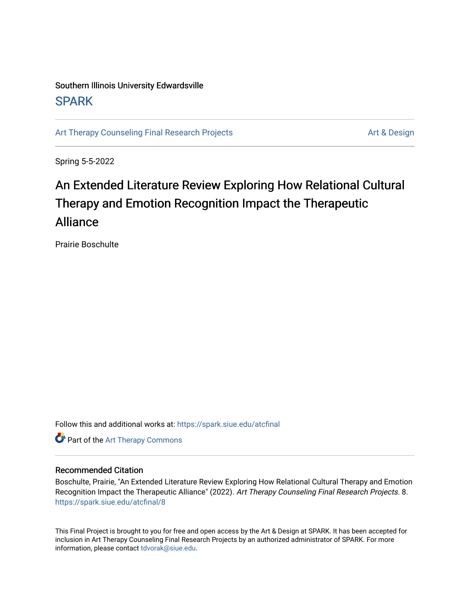# Southern Illinois University Edwardsville **SPARK**

[Art Therapy Counseling Final Research Projects](https://spark.siue.edu/atcfinal) **Art Therapy Counseling Final Research Projects** Art & Design

Spring 5-5-2022

# An Extended Literature Review Exploring How Relational Cultural Therapy and Emotion Recognition Impact the Therapeutic Alliance

Prairie Boschulte

Follow this and additional works at: [https://spark.siue.edu/atcfinal](https://spark.siue.edu/atcfinal?utm_source=spark.siue.edu%2Fatcfinal%2F8&utm_medium=PDF&utm_campaign=PDFCoverPages) 

**Part of the [Art Therapy Commons](https://network.bepress.com/hgg/discipline/1077?utm_source=spark.siue.edu%2Fatcfinal%2F8&utm_medium=PDF&utm_campaign=PDFCoverPages)** 

#### Recommended Citation

Boschulte, Prairie, "An Extended Literature Review Exploring How Relational Cultural Therapy and Emotion Recognition Impact the Therapeutic Alliance" (2022). Art Therapy Counseling Final Research Projects. 8. [https://spark.siue.edu/atcfinal/8](https://spark.siue.edu/atcfinal/8?utm_source=spark.siue.edu%2Fatcfinal%2F8&utm_medium=PDF&utm_campaign=PDFCoverPages) 

This Final Project is brought to you for free and open access by the Art & Design at SPARK. It has been accepted for inclusion in Art Therapy Counseling Final Research Projects by an authorized administrator of SPARK. For more information, please contact [tdvorak@siue.edu](mailto:tdvorak@siue.edu).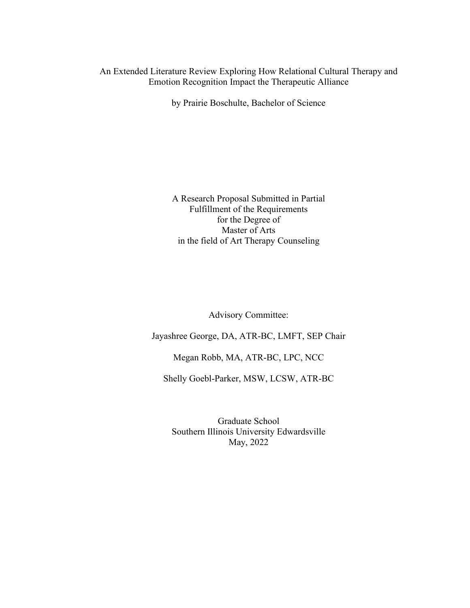# An Extended Literature Review Exploring How Relational Cultural Therapy and Emotion Recognition Impact the Therapeutic Alliance

by Prairie Boschulte, Bachelor of Science

A Research Proposal Submitted in Partial Fulfillment of the Requirements for the Degree of Master of Arts in the field of Art Therapy Counseling

Advisory Committee:

Jayashree George, DA, ATR-BC, LMFT, SEP Chair

Megan Robb, MA, ATR-BC, LPC, NCC

Shelly Goebl-Parker, MSW, LCSW, ATR-BC

Graduate School Southern Illinois University Edwardsville May, 2022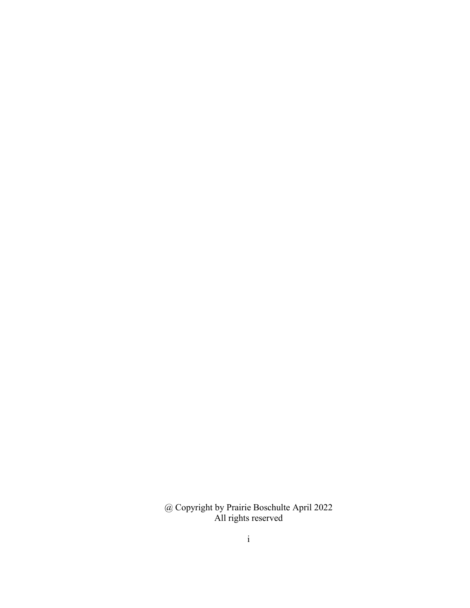@ Copyright by Prairie Boschulte April 2022 All rights reserved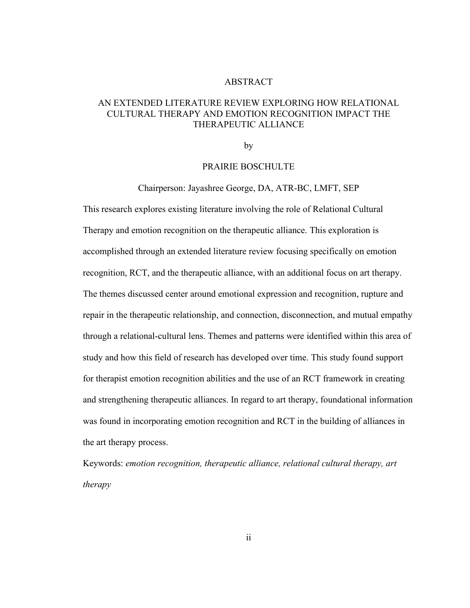#### ABSTRACT

# AN EXTENDED LITERATURE REVIEW EXPLORING HOW RELATIONAL CULTURAL THERAPY AND EMOTION RECOGNITION IMPACT THE THERAPEUTIC ALLIANCE

by the contract of  $\mathbf{b}$ 

#### PRAIRIE BOSCHULTE

Chairperson: Jayashree George, DA, ATR-BC, LMFT, SEP

This research explores existing literature involving the role of Relational Cultural Therapy and emotion recognition on the therapeutic alliance. This exploration is accomplished through an extended literature review focusing specifically on emotion recognition, RCT, and the therapeutic alliance, with an additional focus on art therapy. The themes discussed center around emotional expression and recognition, rupture and repair in the therapeutic relationship, and connection, disconnection, and mutual empathy through a relational-cultural lens. Themes and patterns were identified within this area of study and how this field of research has developed over time. This study found support for therapist emotion recognition abilities and the use of an RCT framework in creating and strengthening therapeutic alliances. In regard to art therapy, foundational information was found in incorporating emotion recognition and RCT in the building of alliances in the art therapy process.

Keywords: *emotion recognition, therapeutic alliance, relational cultural therapy, art therapy*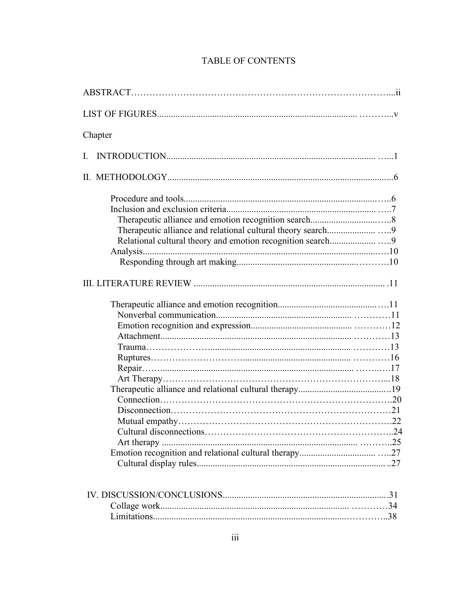| Chapter |
|---------|
| L.      |
|         |
|         |
|         |
|         |
|         |

# TABLE OF CONTENTS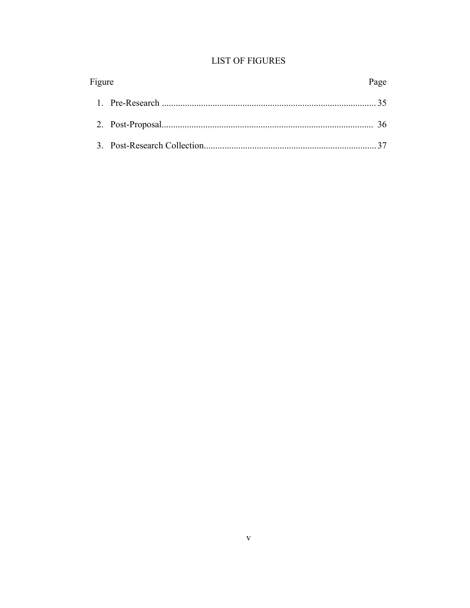# **LIST OF FIGURES**

| Figure | Page |
|--------|------|
|        |      |
|        |      |
|        |      |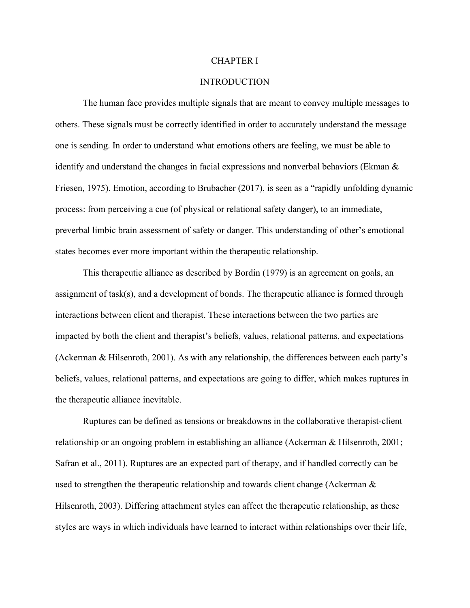#### CHAPTER I

# **INTRODUCTION**

The human face provides multiple signals that are meant to convey multiple messages to others. These signals must be correctly identified in order to accurately understand the message one is sending. In order to understand what emotions others are feeling, we must be able to identify and understand the changes in facial expressions and nonverbal behaviors (Ekman  $\&$ Friesen, 1975). Emotion, according to Brubacher (2017), is seen as a "rapidly unfolding dynamic process: from perceiving a cue (of physical or relational safety danger), to an immediate,<br>preverbal limbic brain assessment of safety or danger. This understanding of other's emotional states becomes ever more important within the therapeutic relationship.

This therapeutic alliance as described by Bordin (1979) is an agreement on goals, an assignment of task(s), and a development of bonds. The therapeutic alliance is formed through interactions between client and therapist. These interactions between the two parties are impacted by both the client and therapist's beliefs, values, relational patterns, and expectations (Ackerman & Hilsenroth, 2001). As with any relationship, the differences between each party's beliefs, values, relational patterns, and expectations are going to differ, which makes ruptures in the therapeutic alliance inevitable.

Ruptures can be defined as tensions or breakdowns in the collaborative therapist-client relationship or an ongoing problem in establishing an alliance (Ackerman & Hilsenroth, 2001; Safran et al., 2011). Ruptures are an expected part of therapy, and if handled correctly can be used to strengthen the therapeutic relationship and towards client change (Ackerman  $\&$ Hilsenroth, 2003). Differing attachment styles can affect the therapeutic relationship, as these styles are ways in which individuals have learned to interact within relationships over their life,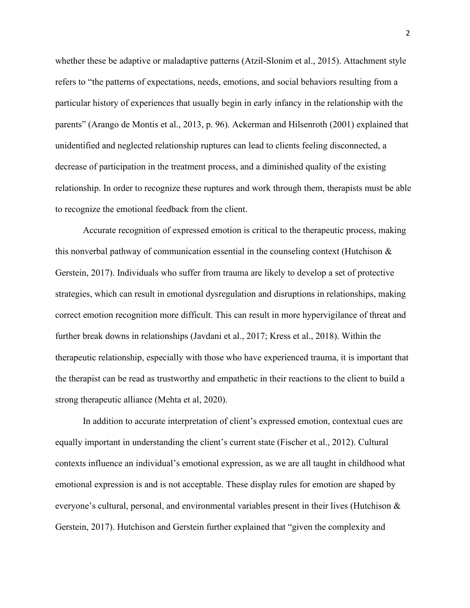whether these be adaptive or maladaptive patterns (Atzil-Slonim et al., 2015). Attachment style refers to "the patterns of expectations, needs, emotions, and social behaviors resulting from a particular history of experiences that usually begin in early infancy in the relationship with the parents" (Arango de Montis et al., 2013, p. 96). Ackerman and Hilsenroth (2001) explained that unidentified and neglected relationship ruptures can lead to clients feeling disconnected, a decrease of participation in the treatment process, and a diminished quality of the existing relationship. In order to recognize these ruptures and work through them, therapists must be able to recognize the emotional feedback from the client.

Accurate recognition of expressed emotion is critical to the therapeutic process, making this nonverbal pathway of communication essential in the counseling context (Hutchison  $\&$ Gerstein, 2017). Individuals who suffer from trauma are likely to develop a set of protective strategies, which can result in emotional dysregulation and disruptions in relationships, making correct emotion recognition more difficult. This can result in more hypervigilance of threat and further break downs in relationships (Javdani et al., 2017; Kress et al., 2018). Within the therapeutic relationship, especially with those who have experienced trauma, it is important that the therapist can be read as trustworthy and empathetic in their reactions to the client to build a strong therapeutic alliance (Mehta et al, 2020).

In addition to accurate interpretation of client's expressed emotion, contextual cues are equally important in understanding the client's current state (Fischer et al., 2012). Cultural contexts influence an individual's emotional expression, as we are all taught in childhood what emotional expression is and is not acceptable. These display rules for emotion are shaped by everyone's cultural, personal, and environmental variables present in their lives (Hutchison & Gerstein, 2017). Hutchison and Gerstein further explained that "given the complexity and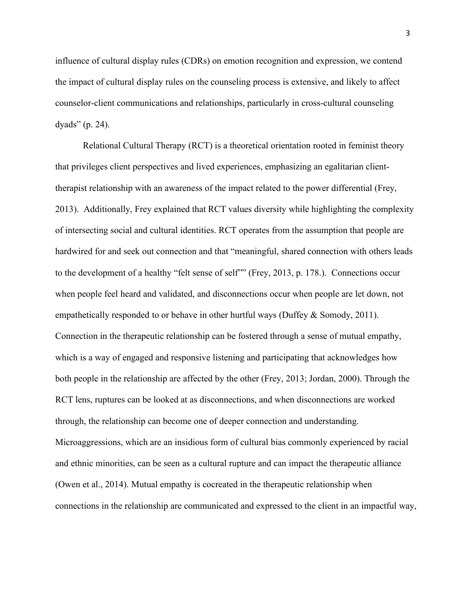influence of cultural display rules (CDRs) on emotion recognition and expression, we contend the impact of cultural display rules on the counseling process is extensive, and likely to affect counselor-client communications and relationships, particularly in cross-cultural counseling dyads" (p. 24).

Relational Cultural Therapy (RCT) is a theoretical orientation rooted in feminist theory that privileges client perspectives and lived experiences, emphasizing an egalitarian clienttherapist relationship with an awareness of the impact related to the power differential (Frey, 2013). Additionally, Frey explained that RCT values diversity while highlighting the complexity of intersecting social and cultural identities. RCT operates from the assumption that people are hardwired for and seek out connection and that "meaningful, shared connection with others leads to the development of a healthy "felt sense of self"" (Frey, 2013, p. 178.). Connections occur when people feel heard and validated, and disconnections occur when people are let down, not empathetically responded to or behave in other hurtful ways (Duffey & Somody, 2011). Connection in the therapeutic relationship can be fostered through a sense of mutual empathy, which is a way of engaged and responsive listening and participating that acknowledges how both people in the relationship are affected by the other (Frey, 2013; Jordan, 2000). Through the RCT lens, ruptures can be looked at as disconnections, and when disconnections are worked through, the relationship can become one of deeper connection and understanding. Microaggressions, which are an insidious form of cultural bias commonly experienced by racial and ethnic minorities, can be seen as a cultural rupture and can impact the therapeutic alliance (Owen et al., 2014). Mutual empathy is cocreated in the therapeutic relationship when connections in the relationship are communicated and expressed to the client in an impactful way,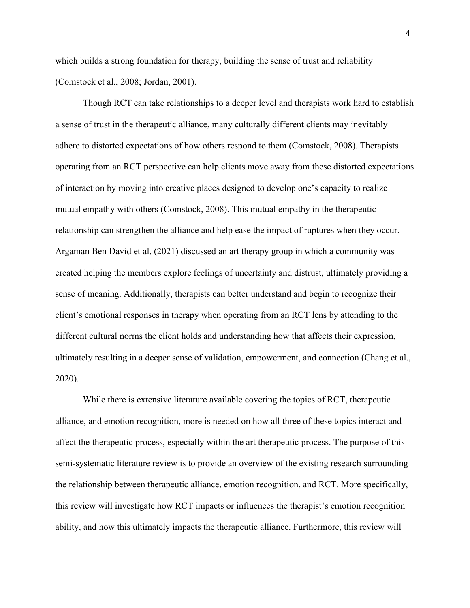which builds a strong foundation for therapy, building the sense of trust and reliability (Comstock et al., 2008; Jordan, 2001).

Though RCT can take relationships to a deeper level and therapists work hard to establish a sense of trust in the therapeutic alliance, many culturally different clients may inevitably adhere to distorted expectations of how others respond to them (Comstock, 2008). Therapists operating from an RCT perspective can help clients move away from these distorted expectations of interaction by moving into creative places designed to develop one's capacity to realize mutual empathy with others (Comstock, 2008). This mutual empathy in the therapeutic relationship can strengthen the alliance and help ease the impact of ruptures when they occur.<br>Argaman Ben David et al. (2021) discussed an art therapy group in which a community was created helping the members explore feelings of uncertainty and distrust, ultimately providing a sense of meaning. Additionally, therapists can better understand and begin to recognize their client's emotional responses in therapy when operating from an RCT lens by attending to the different cultural norms the client holds and understanding how that affects their expression, ultimately resulting in a deeper sense of validation, empowerment, and connection (Chang et al., 2020).

While there is extensive literature available covering the topics of RCT, therapeutic alliance, and emotion recognition, more is needed on how all three of these topics interact and affect the therapeutic process, especially within the art therapeutic process. The purpose of this semi-systematic literature review is to provide an overview of the existing research surrounding the relationship between therapeutic alliance, emotion recognition, and RCT. More specifically, this review will investigate how RCT impacts orinfluences the therapist's emotion recognition ability, and how this ultimately impacts the therapeutic alliance. Furthermore, this review will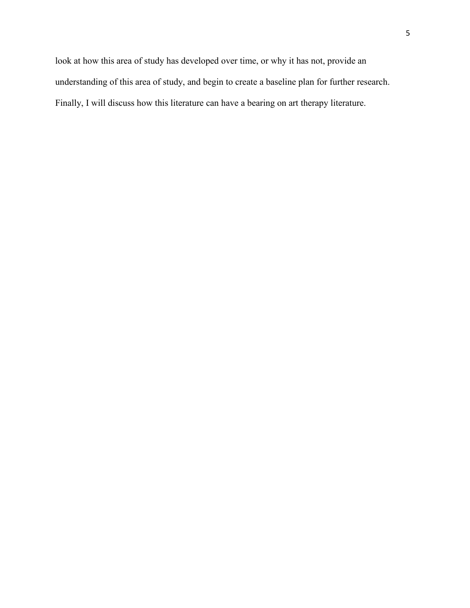look at how this area of study has developed over time, or why it has not, provide an understanding of this area of study, and begin to create a baseline plan for further research. Finally, I will discuss how this literature can have a bearing on art therapy literature.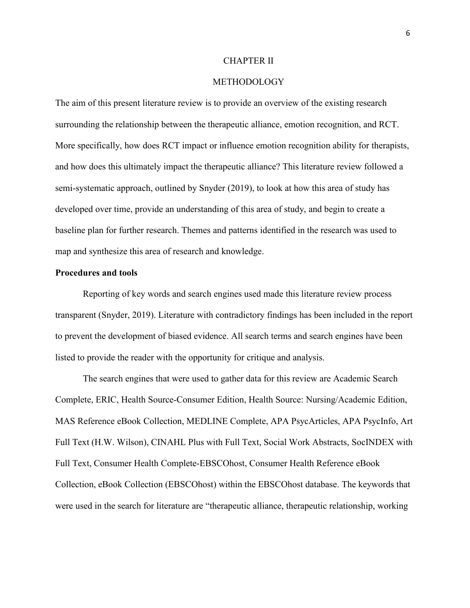#### CHAPTER II

## METHODOLOGY

The aim of this present literature review is to provide an overview of the existing research surrounding the relationship between the therapeutic alliance, emotion recognition, and RCT. More specifically, how does RCT impact or influence emotion recognition ability for therapists, and how does this ultimately impact the therapeutic alliance? This literature review followed a semi-systematic approach, outlined by Snyder (2019), to look at how this area of study has developed over time, provide an understanding of this area of study, and begin to create a baseline plan for further research. Themes and patterns identified in the research was used to map and synthesize this area of research and knowledge.

#### **Procedures and tools**

Reporting of key words and search engines used made this literature review process transparent (Snyder, 2019). Literature with contradictory findings has been included in the report to prevent the development of biased evidence. All search terms and search engines have been listed to provide the reader with the opportunity for critique and analysis.

The search engines that were used to gather data for this review are Academic Search Complete, ERIC, Health Source-Consumer Edition, Health Source: Nursing/Academic Edition, MAS Reference eBook Collection, MEDLINE Complete, APA PsycArticles, APA PsycInfo, Art Full Text (H.W. Wilson), CINAHL Plus with Full Text, Social Work Abstracts, SocINDEX with Full Text, Consumer Health Complete-EBSCOhost, Consumer Health Reference eBook Collection, eBook Collection (EBSCOhost) within the EBSCOhost database. The keywords that were used in the search for literature are "therapeutic alliance, therapeutic relationship, working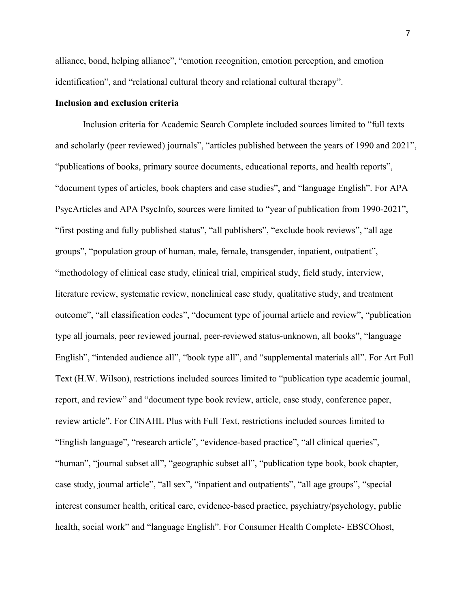alliance, bond, helping alliance", "emotion recognition, emotion perception, and emotion identification", and "relational cultural theory and relational cultural therapy".

#### **Inclusion and exclusion criteria**

Inclusion criteria for Academic Search Complete included sources limited to "full texts and scholarly (peer reviewed) journals", "articles published between the years of1990 and 2021", "publications of books, primary source documents, educational reports, and health reports", "document types of articles, book chapters and case studies", and "language English". For APA PsycArticles and APA PsycInfo, sources were limited to "year of publication from 1990-2021", "first posting and fully published status", "all publishers", "exclude book reviews", "all age groups", "population group of human, male, female, transgender, inpatient, outpatient", "methodology of clinical case study, clinical trial, empirical study, field study, interview, literature review, systematic review, nonclinical case study, qualitative study, and treatment outcome", "all classification codes", "document type of journal article and review", "publication type all journals, peer reviewed journal, peer-reviewed status-unknown, all books", "language English", "intended audience all", "book type all", and "supplemental materials all". For Art Full Text (H.W. Wilson), restrictions included sources limited to "publication type academic journal, report, and review" and "document type book review, article, case study, conference paper, review article". For CINAHL Plus with Full Text, restrictions included sources limited to "English language", "research article", "evidence-based practice", "all clinical queries", "human", "journal subset all", "geographic subset all", "publication type book, book chapter, case study, journal article", "all sex", "inpatient and outpatients", "all age groups", "special interest consumer health, critical care, evidence-based practice, psychiatry/psychology, public health, social work" and "language English". For Consumer Health Complete- EBSCOhost,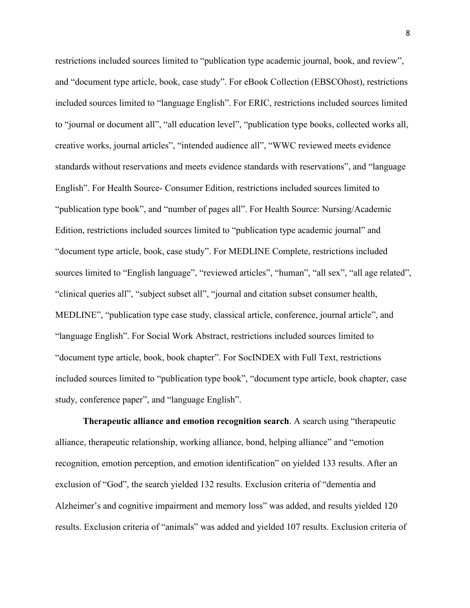restrictions included sources limited to "publication type academic journal, book, and review", and "document type article, book, case study". For eBook Collection (EBSCOhost), restrictions included sources limited to "language English". For ERIC, restrictions included sources limited to "journal or document all", "all education level", "publication type books, collected works all, creative works, journal articles", "intended audience all", "WWC reviewed meets evidence standards without reservations and meets evidence standards with reservations", and "language English". For Health Source- Consumer Edition, restrictions included sources limited to "publication type book", and "number of pages all". For Health Source: Nursing/Academic Edition, restrictions included sources limited to "publication type academic journal" and "document type article, book, case study". For MEDLINE Complete, restrictions included sources limited to "English language", "reviewed articles", "human", "all sex", "all age related",<br>"clinical queries all", "subject subset all", "journal and citation subset consumer health, MEDLINE", "publication type case study, classical article, conference, journal article", and "language English". For Social Work Abstract, restrictions included sources limited to "document type article, book, book chapter". For SocINDEX with Full Text, restrictions included sources limited to "publication type book", "document type article, book chapter, case study, conference paper", and "language English".

**Therapeutic alliance and emotion recognition search**. A search using "therapeutic alliance, therapeutic relationship, working alliance, bond, helping alliance" and "emotion recognition, emotion perception, and emotion identification" on yielded 133 results. After an exclusion of "God", the search yielded 132 results. Exclusion criteria of "dementia and Alzheimer's and cognitive impairment and memory loss" was added, and results yielded 120 results. Exclusion criteria of "animals" was added and yielded 107 results. Exclusion criteria of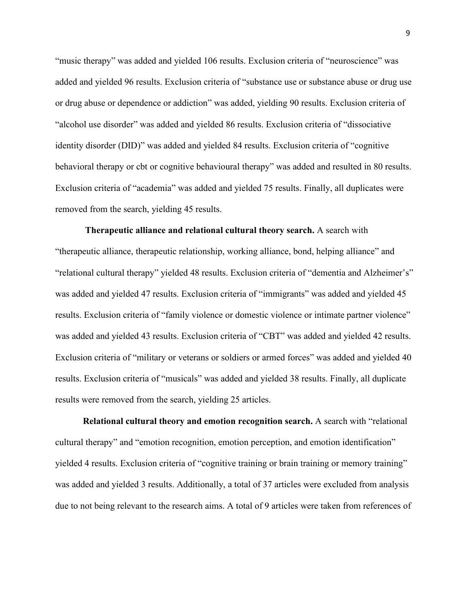"music therapy" was added and yielded 106 results. Exclusion criteria of "neuroscience" was added and yielded 96 results. Exclusion criteria of "substance use or substance abuse or drug use or drug abuse or dependence or addiction" was added, yielding 90 results. Exclusion criteria of "alcohol use disorder" was added and yielded 86 results. Exclusion criteria of "dissociative identity disorder (DID)" was added and yielded 84 results. Exclusion criteria of "cognitive behavioral therapy or cbt or cognitive behavioural therapy" was added and resulted in 80 results. Exclusion criteria of "academia" was added and yielded 75 results. Finally, all duplicates were removed from the search, yielding 45 results.

**Therapeutic alliance and relational cultural theory search.** A search with "therapeutic alliance, therapeutic relationship, working alliance, bond, helping alliance" and "relational cultural therapy" yielded 48 results. Exclusion criteria of "dementia and Alzheimer's" was added and yielded 47 results. Exclusion criteria of "immigrants" was added and yielded 45 results. Exclusion criteria of "family violence or domestic violence or intimate partner violence" was added and yielded 43 results. Exclusion criteria of "CBT" was added and yielded 42 results. Exclusion criteria of "military or veterans or soldiers or armed forces" was added and yielded 40 results. Exclusion criteria of "musicals" was added and yielded 38 results. Finally, all duplicate results were removed from the search, yielding 25 articles.

**Relational cultural theory and emotion recognition search.** A search with "relational cultural therapy" and "emotion recognition, emotion perception, and emotion identification" yielded 4 results. Exclusion criteria of "cognitive training or brain training or memory training" was added and yielded 3 results. Additionally, a total of 37 articles were excluded from analysis due to not being relevant to the research aims. A total of 9 articles were taken from references of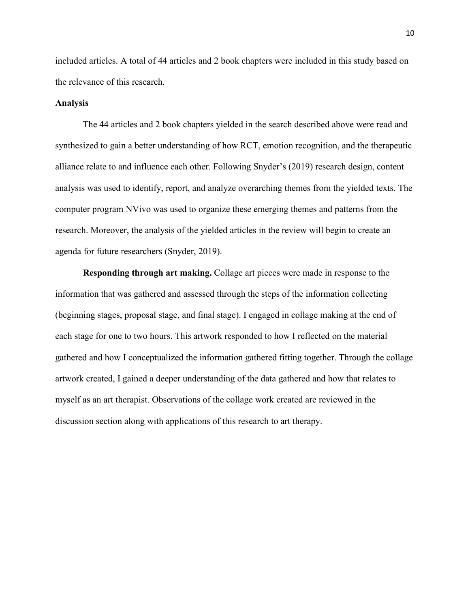included articles. A total of 44 articles and 2 book chapters were included in this study based on the relevance of this research.

#### **Analysis**

The 44 articles and 2 book chapters yielded in the search described above were read and synthesized to gain a better understanding of how RCT, emotion recognition, and the therapeutic alliance relate to and influence each other. Following Snyder's (2019) research design, content analysis was used to identify, report, and analyze overarching themes from the yielded texts. The computer program NVivo was used to organize these emerging themes and patterns from the research. Moreover, the analysis of the yielded articles in the review will begin to create an agenda for future researchers (Snyder, 2019).

**Responding through art making.** Collage art pieces were made in response to the information that was gathered and assessed through the steps of the information collecting (beginning stages, proposal stage, and final stage). I engaged in collage making at the end of each stage for one to two hours. This artwork responded to how I reflected on the material gathered and how I conceptualized the information gathered fitting together. Through the collage artwork created, I gained a deeper understanding of the data gathered and how that relates to myself as an art therapist. Observations of the collage work created are reviewed in the discussion section along with applications of this research to art therapy.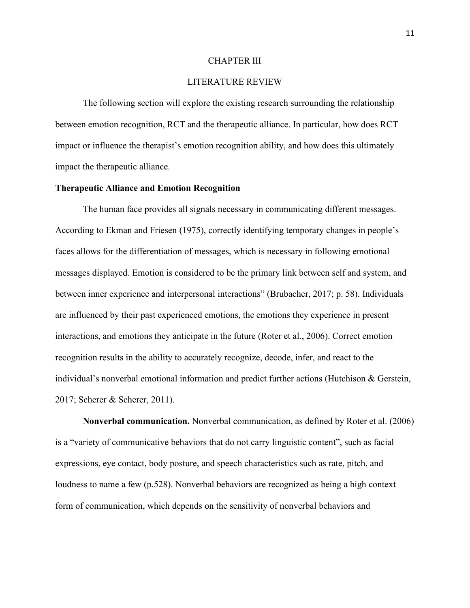#### CHAPTER III

# LITERATURE REVIEW

The following section will explore the existing research surrounding the relationship between emotion recognition, RCT and the therapeutic alliance. In particular, how does RCT impact or influence the therapist's emotion recognition ability, and how does this ultimately impact the therapeutic alliance.

#### **Therapeutic Alliance and Emotion Recognition**

The human face provides all signals necessary in communicating different messages. According to Ekman and Friesen (1975), correctly identifying temporary changes in people's faces allows for the differentiation of messages, which is necessary in following emotional messages displayed. Emotion is considered to be the primary link between self and system, and between inner experience and interpersonal interactions" (Brubacher, 2017; p. 58). Individuals are influenced by their past experienced emotions, the emotions they experience in present interactions, and emotions they anticipate in the future (Roter et al., 2006). Correct emotion recognition results in the ability to accurately recognize, decode, infer, and react to the individual's nonverbal emotional information and predict further actions (Hutchison & Gerstein, 2017; Scherer & Scherer, 2011).

**Nonverbal communication.** Nonverbal communication, as defined by Roter et al. (2006) is a "variety of communicative behaviors that do not carry linguistic content", such as facial expressions, eye contact, body posture, and speech characteristics such as rate, pitch, and loudness to name a few (p.528). Nonverbal behaviors are recognized as being a high context form of communication, which depends on the sensitivity of nonverbal behaviors and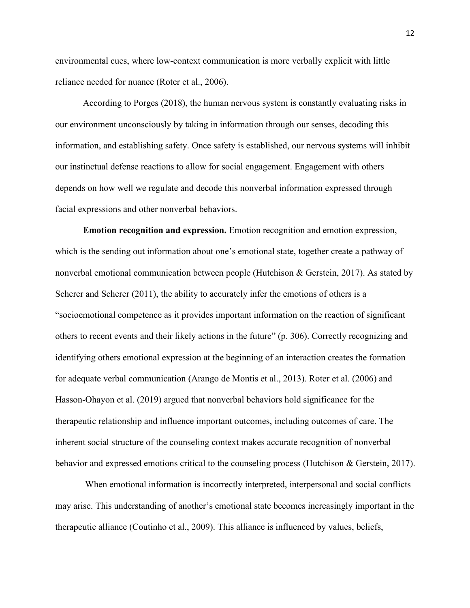environmental cues, where low-context communication is more verbally explicit with little reliance needed for nuance (Roter et al., 2006).

According to Porges (2018), the human nervous system is constantly evaluating risksin our environment unconsciously by taking in information through our senses, decoding this information, and establishing safety. Once safety is established, our nervous systems will inhibit our instinctual defense reactions to allow for social engagement. Engagement with others depends on how well we regulate and decode this nonverbal information expressed through facial expressions and other nonverbal behaviors.

**Emotion recognition and expression.** Emotion recognition and emotion expression, which is the sending out information about one's emotional state, together create a pathway of nonverbal emotional communication between people (Hutchison & Gerstein, 2017). As stated by Scherer and Scherer  $(2011)$ , the ability to accurately infer the emotions of others is a "socioemotional competence as it provides important information on the reaction of significant others to recent events and their likely actions in the future" (p. 306).Correctly recognizing and identifying others emotional expression at the beginning of an interaction creates the formation for adequate verbal communication (Arango de Montis et al., 2013). Roter et al. (2006) and Hasson-Ohayon et al. (2019) argued that nonverbal behaviors hold significance for the therapeutic relationship and influence important outcomes, including outcomes of care. The inherent social structure of the counseling context makes accurate recognition of nonverbal behavior and expressed emotions critical to the counseling process (Hutchison & Gerstein, 2017).

When emotional information is incorrectly interpreted, interpersonal and social conflicts may arise. This understanding of another's emotional state becomes increasingly important in the therapeutic alliance (Coutinho et al., 2009). This alliance is influenced by values, beliefs,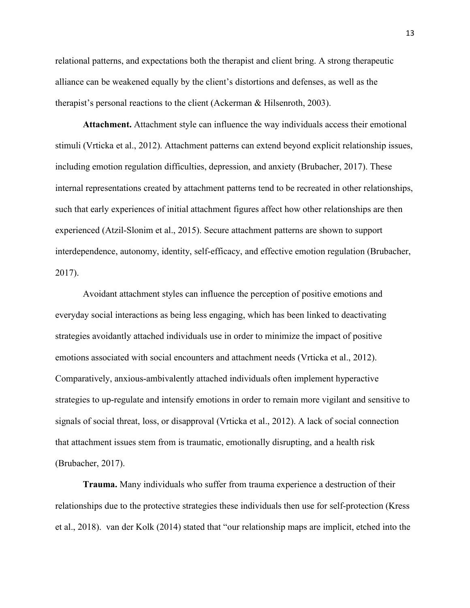relational patterns, and expectations both the therapist and client bring. A strong therapeutic alliance can be weakened equally by the client's distortions and defenses, as well as the therapist's personal reactions to the client (Ackerman & Hilsenroth, 2003).

**Attachment.** Attachment style can influence the way individuals access their emotional stimuli (Vrticka et al., 2012). Attachment patterns can extend beyond explicit relationship issues, including emotion regulation difficulties, depression, and anxiety (Brubacher, 2017). These internal representations created by attachment patterns tend to be recreated in other relationships, such that early experiences of initial attachment figures affect how other relationships are then experienced (Atzil-Slonim et al., 2015). Secure attachment patterns are shown to support interdependence, autonomy, identity, self-efficacy, and effective emotion regulation (Brubacher, 2017).

Avoidant attachment styles can influence the perception of positive emotions and everyday social interactions as being less engaging, which has been linked to deactivating strategies avoidantly attached individuals use in order to minimize the impact of positive emotions associated with social encounters and attachment needs (Vrticka et al., 2012). Comparatively, anxious-ambivalently attached individuals often implement hyperactive strategies to up-regulate and intensify emotions in order to remain more vigilant and sensitive to signals of social threat, loss, or disapproval (Vrticka et al., 2012). A lack of social connection that attachment issues stem from is traumatic, emotionally disrupting, and a health risk (Brubacher, 2017).

**Trauma.** Many individuals who suffer from trauma experience a destruction of their relationships due to the protective strategies these individuals then use for self-protection (Kress et al., 2018). van der Kolk (2014) stated that "our relationship maps are implicit, etched into the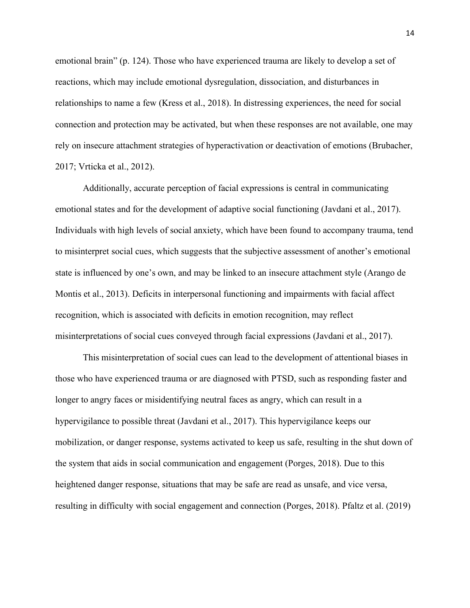emotional brain" (p. 124). Those who have experienced trauma are likely to develop a set of reactions, which may include emotional dysregulation, dissociation, and disturbances in relationships to name a few (Kress et al., 2018). In distressing experiences, the need for social connection and protection may be activated, but when these responses are not available, one may rely on insecure attachment strategies of hyperactivation or deactivation of emotions (Brubacher, 2017; Vrticka et al., 2012).

Additionally, accurate perception of facial expressions is central in communicating emotional states and for the development of adaptive social functioning (Javdani et al., 2017). Individuals with high levels of social anxiety, which have been found to accompany trauma, tend to misinterpret social cues, which suggests that the subjective assessment of another's emotional state is influenced by one's own, and may be linked to an insecure attachment style (Arango de Montis et al., 2013). Deficits in interpersonal functioning and impairments with facial affect recognition, which is associated with deficits in emotion recognition, may reflect misinterpretations of social cues conveyed through facial expressions (Javdani et al., 2017).

This misinterpretation of social cues can lead to the development of attentional biases in those who have experienced trauma or are diagnosed with PTSD, such as responding faster and longer to angry faces or misidentifying neutral faces as angry, which can result in a hypervigilance to possible threat (Javdani et al., 2017). This hypervigilance keeps our mobilization, or danger response, systems activated to keep us safe, resulting in the shut down of the system that aids in social communication and engagement (Porges, 2018). Due to this heightened danger response, situations that may be safe are read as unsafe, and vice versa, resulting in difficulty with social engagement and connection (Porges, 2018). Pfaltz et al. (2019)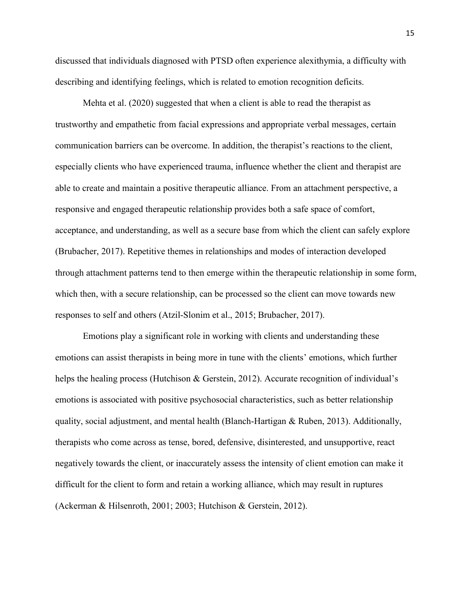discussed that individuals diagnosed with PTSD often experience alexithymia, a difficulty with describing and identifying feelings, which is related to emotion recognition deficits.

Mehta et al. (2020) suggested that when a client is able to read the therapist as trustworthy and empathetic from facial expressionsand appropriate verbal messages, certain communication barriers can be overcome. In addition, the therapist's reactions to the client, especially clients who have experienced trauma, influence whether the client and therapist are able to create and maintain a positive therapeutic alliance. From an attachment perspective, a responsive and engaged therapeutic relationship provides both a safe space of comfort, acceptance, and understanding, as well as a secure base from which the client can safely explore (Brubacher, 2017). Repetitive themes in relationships and modes of interaction developed through attachment patterns tend to then emerge within the therapeutic relationship in some form, which then, with a secure relationship, can be processed so the client can move towards new responses to self and others (Atzil-Slonim et al., 2015; Brubacher, 2017).

Emotions play a significant role in working with clients and understanding these emotions can assist therapists in being more in tune with the clients' emotions, which further helps the healing process (Hutchison & Gerstein, 2012). Accurate recognition of individual's emotions is associated with positive psychosocial characteristics, such as better relationship quality, social adjustment, and mental health (Blanch-Hartigan & Ruben, 2013). Additionally, therapists who come across as tense, bored, defensive, disinterested, and unsupportive, react negatively towards the client, or inaccurately assess the intensity of client emotion can make it difficult for the client to form and retain a working alliance, which may result in ruptures (Ackerman & Hilsenroth, 2001; 2003; Hutchison & Gerstein, 2012).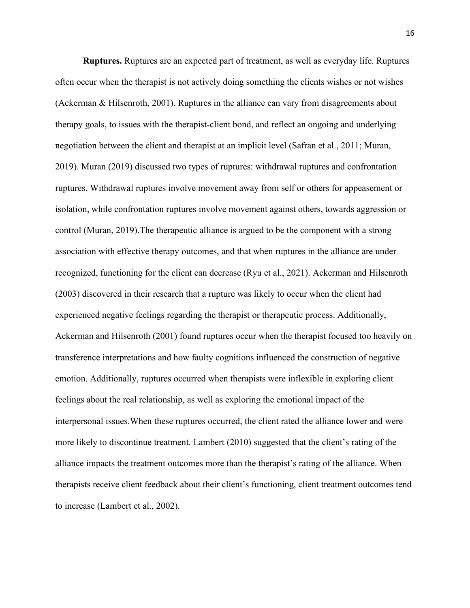**Ruptures.** Ruptures are an expected part of treatment, as well as everyday life. Ruptures often occur when the therapist is not actively doing something the clients wishes ornot wishes (Ackerman & Hilsenroth, 2001). Ruptures in the alliance can vary from disagreements about therapy goals, to issues with the therapist-client bond, and reflect an ongoing and underlying negotiation between the client and therapist at an implicit level (Safran et al., 2011; Muran, 2019). Muran (2019) discussed two types ofruptures: withdrawal ruptures and confrontation ruptures. Withdrawal ruptures involve movement away from self or others for appeasement or isolation, while confrontation ruptures involve movement against others, towards aggression or control (Muran, 2019).The therapeutic alliance is argued to be the component with a strong association with effective therapy outcomes, and that when ruptures in the alliance are under recognized, functioning for the client can decrease (Ryu et al., 2021). Ackerman and Hilsenroth (2003) discovered in their research that a rupture was likely to occur when the client had experienced negative feelings regarding the therapist or therapeutic process. Additionally, Ackerman and Hilsenroth (2001) found ruptures occur when the therapist focused too heavily on transference interpretations and how faulty cognitions influenced the construction of negative emotion. Additionally, ruptures occurred when therapists were inflexible in exploring client feelings about the real relationship, as well as exploring the emotional impact of the interpersonal issues.When these ruptures occurred, the client rated the alliance lower and were more likely to discontinue treatment. Lambert (2010) suggested that the client's rating of the alliance impacts the treatment outcomes more than the therapist's rating of the alliance. When therapists receive client feedback about their client's functioning, client treatment outcomes tend to increase (Lambert et al., 2002).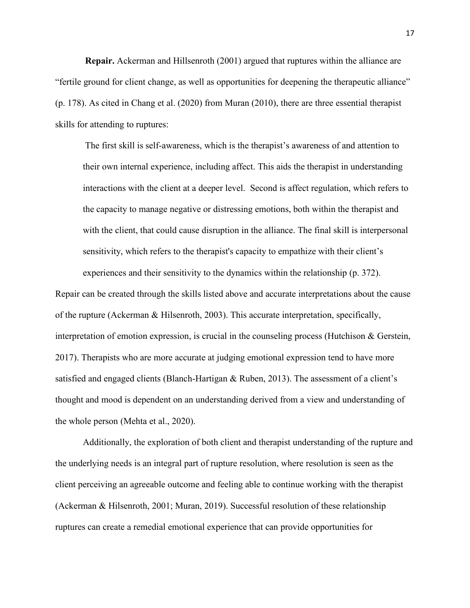**Repair.** Ackerman and Hillsenroth (2001) argued that ruptures within the alliance are "fertile ground for client change, as well as opportunities for deepening the therapeutic alliance" (p. 178). As cited in Chang et al. (2020) from Muran (2010), there are three essential therapist skills for attending to ruptures:

The first skill is self-awareness, which is the therapist's awareness of and attention to their own internal experience, including affect. This aids the therapist in understanding interactions with the client at a deeper level. Second is affect regulation, which refers to the capacity to manage negative or distressing emotions, both within the therapist and with the client, that could cause disruption in the alliance. The final skill is interpersonal sensitivity, which refers to the therapist's capacity to empathize with their client's

Repair can be created through the skills listed above and accurate interpretations about the cause of the rupture (Ackerman & Hilsenroth, 2003). This accurate interpretation, specifically, interpretation of emotion expression, is crucial in the counseling process (Hutchison  $\&$  Gerstein, 2017). Therapists who are more accurate at judging emotional expression tend to have more satisfied and engaged clients (Blanch-Hartigan & Ruben, 2013). The assessment of a client's thought and mood is dependent on an understanding derived from a view and understanding of the whole person (Mehta et al., 2020).

experiences and their sensitivity to the dynamics within the relationship (p. 372).

Additionally, the exploration of both client and therapist understanding of the rupture and the underlying needs is an integral part of rupture resolution, where resolution is seen as the client perceiving an agreeable outcome and feeling able to continue working with the therapist (Ackerman & Hilsenroth, 2001; Muran, 2019). Successful resolution of these relationship ruptures can create a remedial emotional experience that can provide opportunities for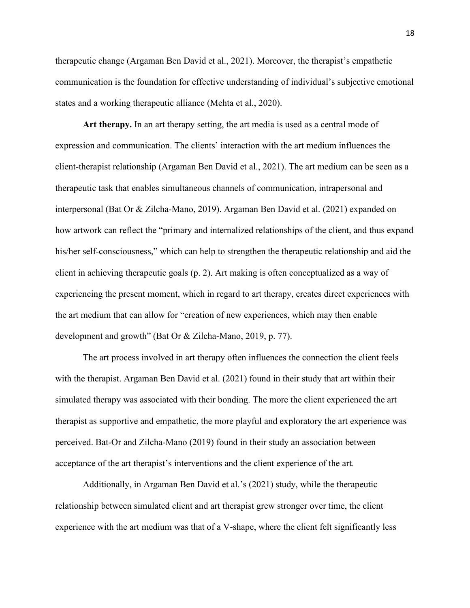therapeutic change (Argaman Ben David et al., 2021). Moreover, the therapist's empathetic communication is the foundation for effective understanding of individual's subjective emotional states and a working therapeutic alliance (Mehta et al., 2020).

**Art therapy.** In an art therapy setting, the art media is used as a central mode of expression and communication. The clients' interaction with the art medium influences the client-therapist relationship (Argaman Ben David et al., 2021). The art medium can be seen as a therapeutic task that enables simultaneous channels ofcommunication, intrapersonal and interpersonal (Bat Or & Zilcha-Mano, 2019). Argaman Ben David et al. (2021) expanded on how artwork can reflect the "primary and internalized relationships of the client, and thus expand his/her self-consciousness," which can help to strengthen the therapeutic relationship and aid the client in achieving therapeutic goals (p.2).Art making is often conceptualized as a way of experiencing the present moment, which in regard to art therapy, creates direct experiences with the art medium that can allow for "creation of new experiences, which may then enable development and growth" (Bat Or & Zilcha-Mano, 2019, p. 77).

The art process involved in art therapy often influences the connection the client feels with the therapist. Argaman Ben David et al. (2021) found in their study that art within their simulated therapy was associated with their bonding. The more the client experienced the art therapist as supportive and empathetic, the more playful and exploratory the art experience was perceived. Bat-Or and Zilcha-Mano (2019) found in their study an association between acceptance of the art therapist's interventions and the client experience of the art.

Additionally, in Argaman Ben David et al.'s (2021) study, while the therapeutic relationship between simulated client and art therapist grew stronger over time, the client experience with the art medium was that of a V-shape, where the client felt significantly less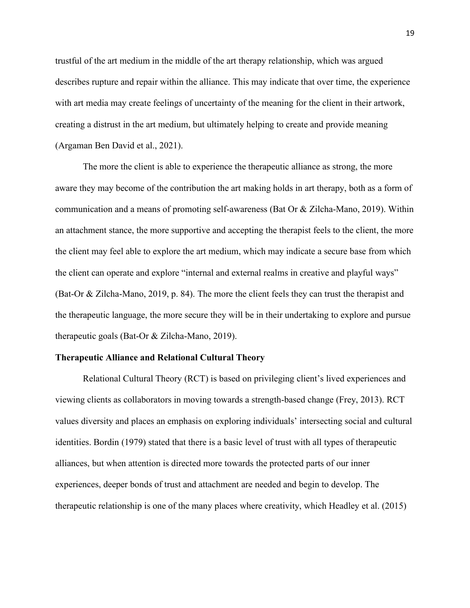trustful of the art medium in the middle of the art therapy relationship, which was argued describes rupture and repair within the alliance. This may indicate that over time, the experience with art media may create feelings of uncertainty of the meaning for the client in their artwork, creating a distrust in the art medium, but ultimately helping to create and provide meaning (Argaman Ben David et al., 2021).

The more the client is able to experience the therapeutic alliance as strong, the more aware they may become of the contribution the art making holds in art therapy, both as a form of communication and a means of promoting self-awareness (Bat Or  $&$  Zilcha-Mano, 2019). Within an attachment stance, the more supportive and accepting the therapist feels to the client, the more the client may feel able to explore the art medium, which may indicate a secure base from which the client can operate and explore "internal and external realms in creative and playful ways" (Bat-Or & Zilcha-Mano, 2019, p. 84). The more the client feels they can trust the therapist and the therapeutic language, the more secure they will be in their undertaking to explore and pursue therapeutic goals (Bat-Or & Zilcha-Mano, 2019).

#### **Therapeutic Alliance and Relational Cultural Theory**

Relational Cultural Theory (RCT) is based on privileging client's lived experiences and viewing clients as collaborators in moving towards a strength-based change (Frey, 2013). RCT values diversity and places an emphasis on exploring individuals' intersecting social and cultural identities. Bordin (1979) stated that there is a basic level of trust with all types of therapeutic alliances, but when attention is directed more towards the protected parts ofour inner experiences, deeper bonds of trust and attachment are needed and begin to develop. The therapeutic relationship is one of the many places where creativity, which Headley et al. (2015)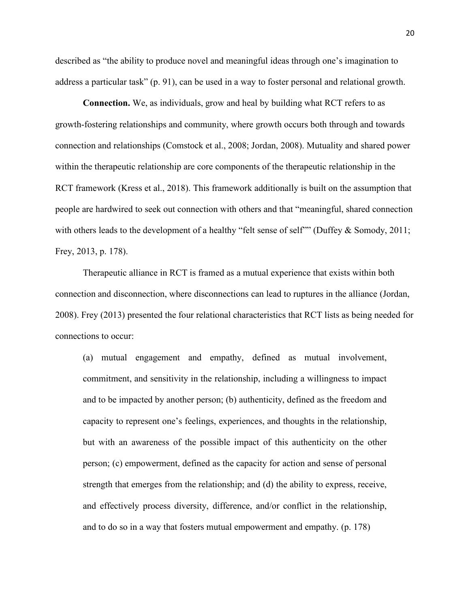described as "the ability to produce novel and meaningful ideas through one's imagination to address a particular task" (p. 91), can be used in a way to foster personal and relational growth.

**Connection.** We, as individuals, grow and heal by building what RCT refers to as growth-fostering relationships and community, where growth occurs both through and towards connection and relationships (Comstock et al., 2008; Jordan, 2008). Mutuality and shared power within the therapeutic relationship are core components of the therapeutic relationship in the RCT framework (Kress et al., 2018). This framework additionally is built on the assumption that people are hardwired to seek out connection with others and that "meaningful, shared connection with others leads to the development of a healthy "felt sense of self"" (Duffey & Somody, 2011; Frey, 2013, p. 178).

Therapeutic alliance in RCT is framed as a mutual experience that exists within both connection and disconnection, where disconnections can lead to ruptures in the alliance (Jordan, 2008). Frey (2013) presented the four relational characteristics that RCT lists as being needed for connections to occur:

(a) mutual engagement and empathy, defined as mutual involvement, commitment, and sensitivity in the relationship, including a willingness to impact and to be impacted by another person; (b) authenticity, defined as the freedom and capacity to represent one's feelings, experiences, and thoughts in the relationship, but with an awareness of the possible impact of this authenticity on the other person; (c) empowerment, defined as the capacity for action and sense of personal strength that emerges from the relationship; and (d) the ability to express, receive, and effectively process diversity, difference, and/or conflict in the relationship, and to do so in a way that fosters mutual empowerment and empathy. (p. 178)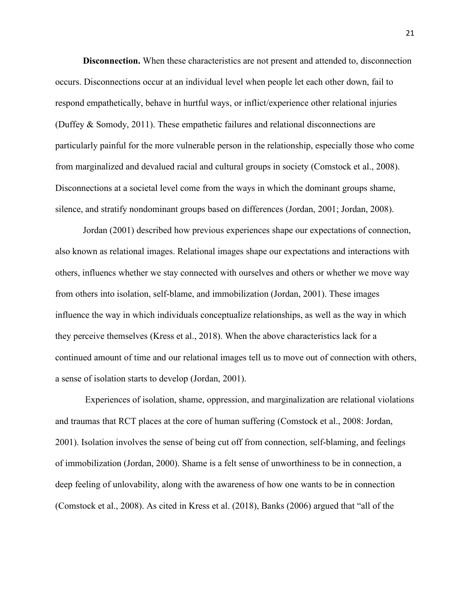**Disconnection.** When these characteristics are not present and attended to, disconnection occurs. Disconnections occur at an individual level when people let each other down, fail to respond empathetically, behave in hurtful ways, or inflict/experience other relational injuries (Duffey & Somody, 2011). These empathetic failures and relational disconnections are particularly painful for the more vulnerable person in the relationship, especially those who come from marginalized and devalued racial and cultural groups in society (Comstock et al., 2008). Disconnections at a societal level come from the ways in which the dominant groups shame, silence, and stratify nondominant groups based on differences (Jordan, 2001; Jordan, 2008).

Jordan (2001) described how previous experiences shape our expectations of connection, also known as relational images. Relational images shape our expectations and interactions with others, influencs whether we stay connected with ourselves and others orwhether we move way from others into isolation, self-blame, and immobilization (Jordan, 2001). These images influence the way in which individuals conceptualize relationships, as well as the way in which they perceive themselves (Kress et al., 2018). When the above characteristics lack for a continued amount of time and our relational images tell us to move out of connection with others, a sense of isolation starts to develop (Jordan, 2001).

Experiences of isolation, shame, oppression, and marginalization are relational violations and traumas that RCT places at the core of human suffering (Comstock et al., 2008: Jordan, 2001). Isolation involves the sense of being cut off from connection, self-blaming, and feelings of immobilization (Jordan, 2000). Shame is a feltsense of unworthiness to be in connection, a deep feeling of unlovability, along with the awareness of how one wants to be in connection (Comstock et al., 2008). As cited in Kress et al.(2018), Banks (2006) argued that "all of the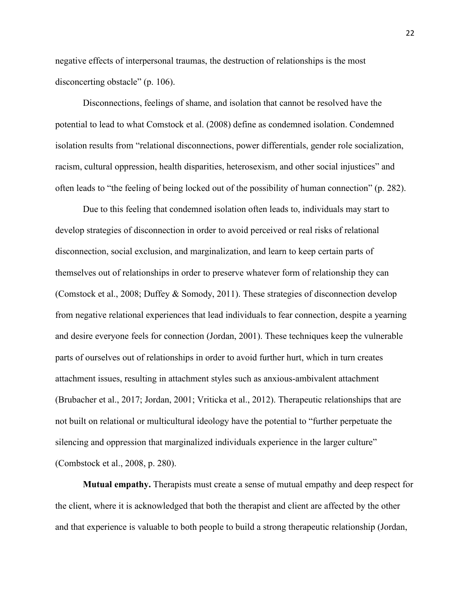negative effects of interpersonal traumas, the destruction of relationships is the most disconcerting obstacle" (p. 106).<br>Disconnections, feelings of shame, and isolation that cannot be resolved have the

potential to lead to what Comstock et al. (2008) define as condemned isolation. Condemned isolation results from "relational disconnections, power differentials, gender role socialization, racism, cultural oppression, health disparities, heterosexism, and other social injustices" and often leads to "the feeling of being locked out of the possibility of human connection" (p. 282).<br>Due to this feeling that condemned isolation often leads to, individuals may start to

develop strategies of disconnection in order to avoid perceived or real risks of relational disconnection, social exclusion, and marginalization, and learn to keep certain parts of themselves out of relationships in order to preserve whatever form of relationship they can (Comstock et al., 2008; Duffey & Somody, 2011). These strategies of disconnection develop from negative relational experiences that lead individuals to fear connection, despite a yearning and desire everyone feels for connection (Jordan, 2001). These techniques keep the vulnerable parts of ourselves out of relationships in order to avoid further hurt, which in turn creates attachment issues, resulting in attachment styles such as anxious-ambivalent attachment (Brubacher et al., 2017; Jordan, 2001; Vriticka et al., 2012). Therapeutic relationships that are not built on relational or multicultural ideology have the potential to "further perpetuate the silencing and oppression that marginalized individuals experience in the larger culture" (Combstock et al., 2008, p. 280).

**Mutual empathy.** Therapists must create a sense of mutual empathy and deep respect for the client, where it is acknowledged that both the therapist and client are affected by the other and that experience is valuable to both people to build a strong therapeutic relationship (Jordan,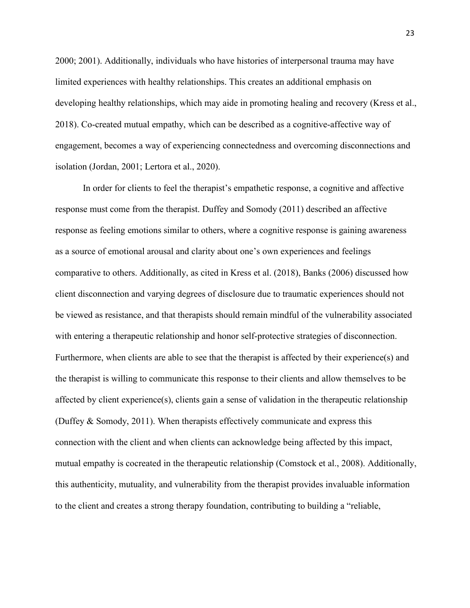2000; 2001). Additionally, individuals who have histories ofinterpersonal trauma may have limited experiences with healthy relationships. This creates an additional emphasis on developing healthy relationships, which may aide in promoting healing and recovery (Kress et al., 2018). Co-created mutual empathy, which can be described as a cognitive-affective way of engagement, becomes a way of experiencing connectedness and overcoming disconnections and isolation (Jordan, 2001; Lertora et al., 2020).

In order for clients to feel the therapist's empathetic response, a cognitive and affective response must come from the therapist. Duffey and Somody (2011) described an affective response as feeling emotions similar to others, where a cognitive response is gaining awareness as a source of emotional arousal and clarity about one's own experiences and feelings comparative to others. Additionally, as cited in Kress et al.(2018), Banks (2006) discussed how client disconnection and varying degrees of disclosure due to traumatic experiences should not be viewed as resistance, and that therapists should remain mindful of the vulnerability associated with entering a therapeutic relationship and honor self-protective strategies of disconnection. Furthermore, when clients are able to see that the therapist is affected by their experience(s) and the therapist is willing to communicate this response to their clients and allow themselves to be affected by client experience(s), clients gain a sense of validation in the therapeutic relationship (Duffey & Somody, 2011). When therapists effectively communicate and express this connection with the client and when clients can acknowledge being affected by this impact, mutual empathy is cocreated in the therapeutic relationship (Comstock et al., 2008). Additionally, this authenticity, mutuality, and vulnerability from the therapist provides invaluable information to the client and creates a strong therapy foundation, contributing to building a "reliable,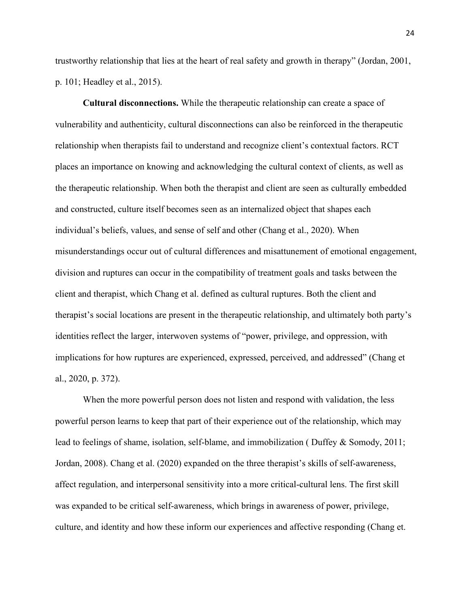trustworthy relationship that lies at the heart of real safety and growth in therapy" (Jordan, 2001, p. 101; Headley et al., 2015).

**Cultural disconnections.** While the therapeutic relationship can create a space of vulnerability and authenticity, cultural disconnections can also be reinforced in the therapeutic relationship when therapists fail to understand and recognize client's contextual factors. RCT places an importance on knowing and acknowledging the cultural context of clients, as well as the therapeutic relationship. When both the therapist and client are seen as culturally embedded and constructed, culture itself becomes seen as an internalized object that shapes each individual's beliefs, values, and sense of self and other (Chang et al., 2020). When misunderstandings occur out of cultural differences and misattunement of emotional engagement, division and ruptures can occur in the compatibility of treatment goals and tasks between the client and therapist, which Chang et al. defined as cultural ruptures. Both the client and therapist's social locations are present in the therapeutic relationship, and ultimately both party's identities reflect the larger, interwoven systems of "power, privilege, and oppression, with implications for how ruptures are experienced, expressed, perceived, and addressed" (Chang et al., 2020, p. 372).

When the more powerful person does not listen and respond with validation, the less powerful person learns to keep that part of their experience out of the relationship, which may lead to feelings of shame, isolation, self-blame, and immobilization ( Duffey  $\&$  Somody, 2011; Jordan, 2008). Chang et al. (2020) expanded on the three therapist's skills of self-awareness, affect regulation, and interpersonal sensitivity into a more critical-cultural lens. The first skill was expanded to be critical self-awareness, which brings in awareness of power, privilege, culture, and identity and how these inform our experiences and affective responding (Chang et.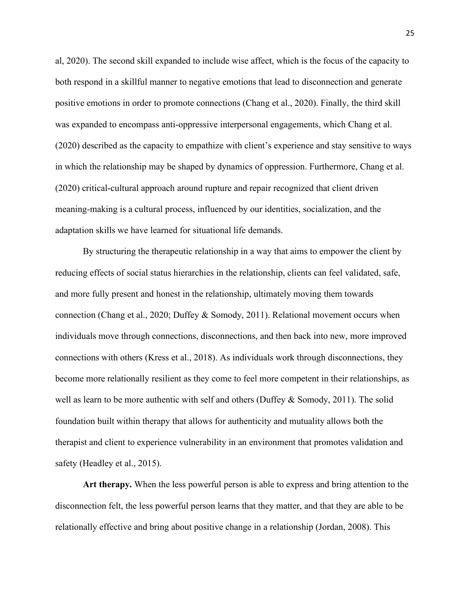al, 2020). The second skill expanded to include wise affect, which is the focus ofthe capacity to both respond in a skillful manner to negative emotions that lead to disconnection and generate positive emotions in order to promote connections (Chang et al., 2020). Finally, the third skill was expanded to encompass anti-oppressive interpersonal engagements, which Chang et al. (2020) described as the capacity to empathize with client's experience and stay sensitive to ways in which the relationship may be shaped by dynamics of oppression. Furthermore, Chang et al.  $(2020)$  critical-cultural approach around rupture and repair recognized that client driven meaning-making is a cultural process, influenced by our identities, socialization, and the adaptation skills we have learned for situational life demands.

By structuring the therapeutic relationship in a way that aims to empower the client by reducing effects of social status hierarchies in the relationship, clients can feel validated, safe, and more fully present and honest in the relationship, ultimately moving them towards connection (Chang et al., 2020; Duffey & Somody, 2011). Relational movement occurs when individuals move through connections, disconnections, and then back into new, more improved connections with others (Kress et al., 2018). As individuals work through disconnections, they become more relationally resilient as they come to feel more competent in their relationships, as well as learn to be more authentic with self and others (Duffey  $&$  Somody, 2011). The solid foundation built within therapy that allows for authenticity and mutuality allows both the therapist and client to experience vulnerability in an environment that promotes validation and safety (Headley et al., 2015).

**Art therapy.** When the less powerful person is able to express and bring attention to the disconnection felt, the less powerful person learns that they matter, and that they are able to be relationally effective and bring about positive change in a relationship (Jordan, 2008). This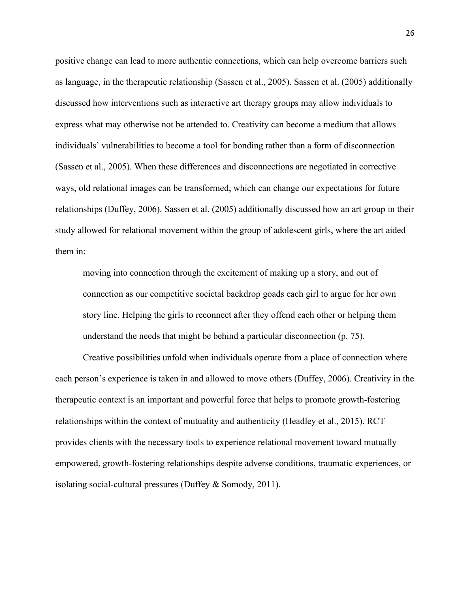positive change can lead to more authentic connections, which can help overcome barriers such as language, in the therapeutic relationship (Sassen et al., 2005). Sassen et al. (2005) additionally discussed how interventions such as interactive art therapy groups may allow individuals to express what may otherwise not be attended to. Creativity can become a medium that allows individuals' vulnerabilities to become a tool for bonding rather than a form of disconnection (Sassen et al., 2005). When these differences and disconnections are negotiated in corrective ways, old relational images can be transformed, which can change our expectations for future relationships (Duffey, 2006). Sassen et al. (2005) additionally discussed how an art group in their study allowed for relational movement within the group of adolescent girls, where the art aided them in:

moving into connection through the excitement of making up a story, and out of connection as our competitive societal backdrop goads each girl to argue for her own story line. Helping the girls to reconnect after they offend each other or helping them understand the needs that might be behind a particular disconnection (p. 75).

Creative possibilities unfold when individuals operate from a place of connection where each person's experience is taken in and allowed to move others (Duffey, 2006). Creativity in the therapeutic context is an important and powerful force that helps to promote growth-fostering relationships within the context of mutuality and authenticity (Headley et al., 2015). RCT provides clients with the necessary tools to experience relational movement toward mutually empowered, growth-fostering relationships despite adverse conditions, traumatic experiences, or isolating social-cultural pressures (Duffey & Somody, 2011).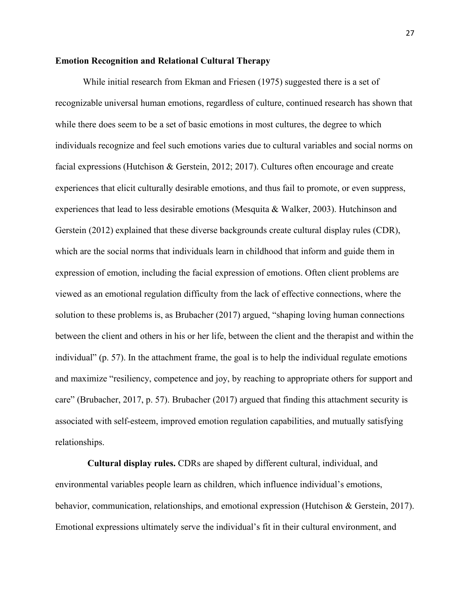#### **Emotion Recognition and Relational Cultural Therapy**

While initial research from Ekman and Friesen (1975) suggested there is a set of recognizable universal human emotions, regardless of culture, continued research has shown that while there does seem to be a set of basic emotions in most cultures, the degree to which individuals recognize and feel such emotions varies due to cultural variables and social norms on facial expressions (Hutchison & Gerstein, 2012; 2017). Cultures often encourage and create experiences that elicit culturally desirable emotions, and thus fail to promote, or even suppress, experiences that lead to less desirable emotions (Mesquita & Walker, 2003). Hutchinson and Gerstein (2012) explained that these diverse backgrounds create cultural display rules (CDR), which are the social norms that individuals learn in childhood that inform and guide them in expression of emotion, including the facial expression of emotions. Often client problems are viewed as an emotional regulation difficulty from the lack of effective connections, where the solution to these problems is, as Brubacher (2017) argued, "shaping loving human connections between the client and others in his or her life, between the client and the therapist and within the individual" (p. 57). In the attachment frame, the goal is to help the individual regulate emotions and maximize "resiliency, competence and joy, by reaching to appropriate others for support and care" (Brubacher, 2017, p. 57). Brubacher (2017) argued that finding this attachment security is associated with self-esteem, improved emotion regulation capabilities, and mutually satisfying relationships.

**Cultural display rules.** CDRs are shaped by different cultural, individual, and environmental variables people learn as children, which influence individual's emotions, behavior, communication, relationships, and emotional expression (Hutchison & Gerstein, 2017). Emotional expressions ultimately serve the individual's fit in their cultural environment, and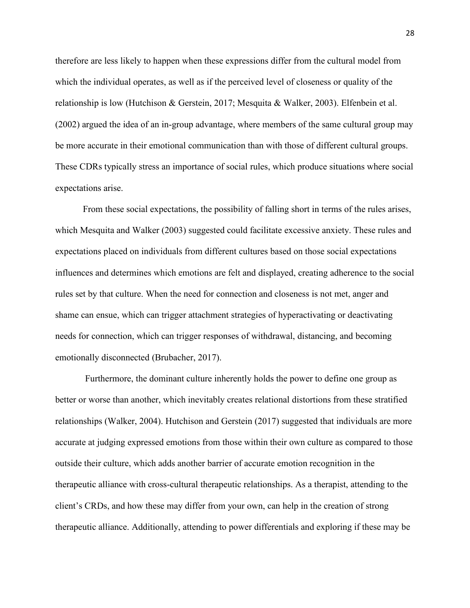therefore are less likely to happen when these expressions differ from the cultural model from which the individual operates, as well as if the perceived level of closeness or quality of the relationship is low (Hutchison & Gerstein, 2017; Mesquita & Walker, 2003). Elfenbein et al. (2002) argued the idea of an in-group advantage, where members of the same cultural group may be more accurate in their emotional communication than with those of different cultural groups. These CDRs typically stress an importance of social rules, which produce situations where social expectations arise.

From these social expectations, the possibility of falling short in terms of the rules arises, which Mesquita and Walker (2003) suggested could facilitate excessive anxiety. These rules and expectations placed on individuals from different cultures based on those social expectations influences and determines which emotions are felt and displayed, creating adherence to the social rules set by that culture. When the need for connection and closeness is not met, anger and shame can ensue, which can trigger attachment strategies of hyperactivating or deactivating needs for connection, which can trigger responses of withdrawal, distancing, and becoming emotionally disconnected (Brubacher, 2017).

Furthermore, the dominant culture inherently holds the power to define one group as better or worse than another, which inevitably creates relational distortions from these stratified relationships (Walker, 2004). Hutchison and Gerstein (2017) suggested that individuals are more accurate at judging expressed emotions from those within their own culture as compared to those outside their culture, which adds another barrier of accurate emotion recognition in the therapeutic alliance with cross-cultural therapeutic relationships. As a therapist, attending to the client's CRDs, and how these may differ from your own, can help in the creation of strong therapeutic alliance. Additionally, attending to power differentials and exploring if these may be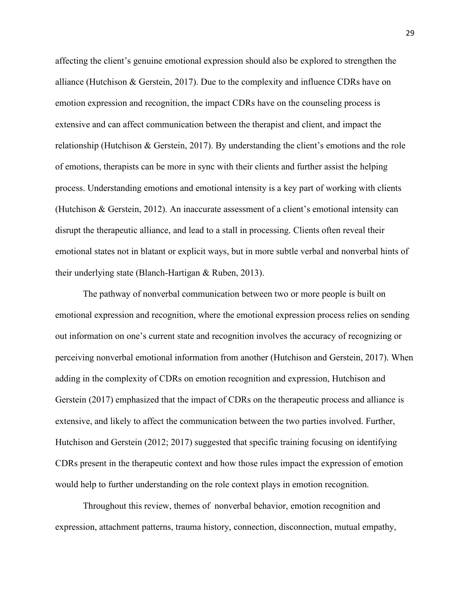affecting the client's genuine emotional expression should also be explored to strengthen the alliance (Hutchison & Gerstein, 2017). Due to the complexity and influence CDRs have on emotion expression and recognition, the impact CDRs have on the counseling process is extensive and can affect communication between the therapist and client, and impact the relationship (Hutchison & Gerstein, 2017). By understanding the client's emotions and the role of emotions, therapists can be more in sync with their clients and further assist the helping process. Understanding emotions and emotionalintensity is a key part of working with clients (Hutchison & Gerstein, 2012). An inaccurate assessment of a client's emotional intensity can disrupt the therapeutic alliance, and lead to a stall in processing. Clients often reveal their emotional states not in blatant or explicit ways, but in more subtle verbal and nonverbal hints of their underlying state (Blanch-Hartigan & Ruben, 2013).

The pathway of nonverbal communication between two or more people is builton emotional expression and recognition, where the emotional expression process relies on sending out information on one's current state and recognition involves the accuracy of recognizing or perceiving nonverbal emotional information from another (Hutchison and Gerstein, 2017). When adding in the complexity of CDRs on emotion recognition and expression, Hutchison and Gerstein (2017) emphasized that the impact of CDRs on the therapeutic process and alliance is extensive, and likely to affect the communication between the two parties involved. Further, Hutchison and Gerstein (2012; 2017) suggested that specific training focusing on identifying CDRs present in the therapeutic context and how those rules impact the expression of emotion would help to further understanding on the role context plays in emotion recognition.

Throughout this review, themes of nonverbal behavior, emotion recognition and expression, attachment patterns, trauma history, connection, disconnection, mutual empathy,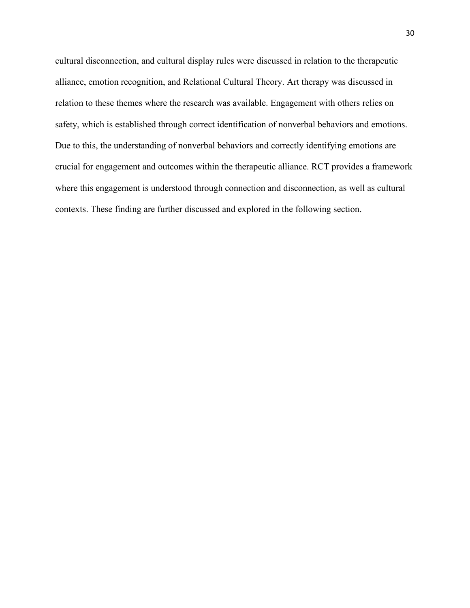cultural disconnection, and cultural display rules were discussed in relation to the therapeutic alliance, emotion recognition, and Relational Cultural Theory. Art therapy was discussed in relation to these themes where the research was available. Engagement with others relies on safety, which is established through correct identification of nonverbal behaviors and emotions. Due to this, the understanding of nonverbal behaviors and correctly identifying emotions are crucial for engagement and outcomes within the therapeutic alliance. RCT provides a framework where this engagement is understood through connection and disconnection, as well as cultural contexts. These finding are further discussed and explored in the following section.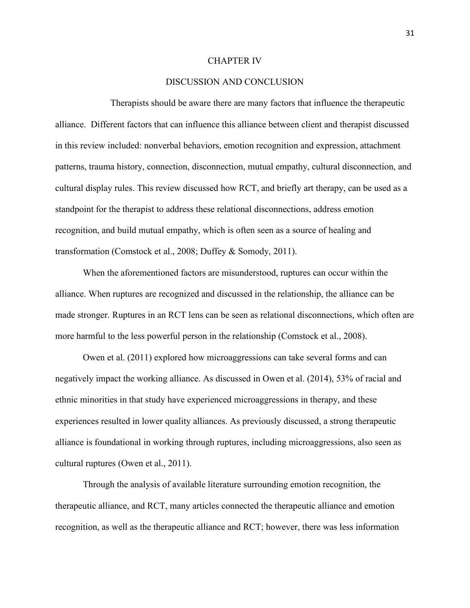#### CHAPTER IV

# DISCUSSION AND CONCLUSION

Therapists should be aware there are many factors that influence the therapeutic alliance. Different factors that can influence this alliance between client and therapist discussed in this review included: nonverbal behaviors, emotion recognition and expression, attachment patterns, trauma history, connection, disconnection, mutual empathy, cultural disconnection, and cultural display rules. This review discussed how RCT, and briefly art therapy, can be used as a standpoint for the therapist to address these relational disconnections, address emotion recognition, and build mutual empathy, which is often seen as a source of healing and transformation (Comstock et al., 2008; Duffey & Somody, 2011).

When the aforementioned factors are misunderstood, ruptures can occur within the alliance. When ruptures are recognized and discussed in the relationship, the alliance can be made stronger. Ruptures in an RCT lens can be seen as relational disconnections, which often are more harmful to the less powerful person in the relationship (Comstock et al., 2008).

Owen et al. (2011) explored how microaggressions can take several forms and can negatively impact the working alliance. As discussed in Owen et al. (2014), 53% of racial and ethnic minorities in that study have experienced microaggressions in therapy, and these experiences resulted in lower quality alliances. As previously discussed, a strong therapeutic alliance is foundational in working through ruptures, including microaggressions, also seen as cultural ruptures (Owen et al., 2011).

Through the analysis of available literature surrounding emotion recognition, the therapeutic alliance, and RCT, many articles connected the therapeutic alliance and emotion recognition, as well as the therapeutic alliance and RCT; however, there was less information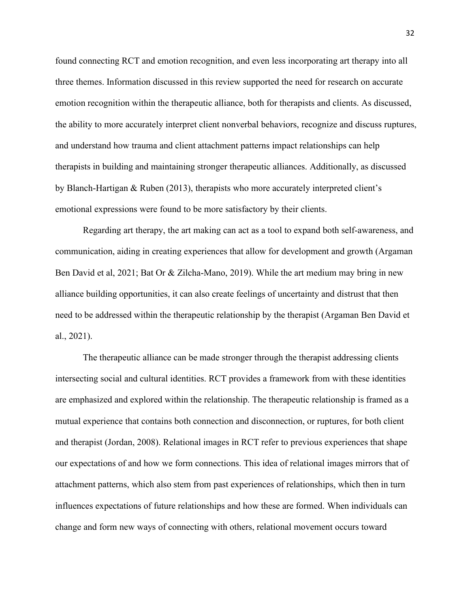found connecting RCT and emotion recognition, and even less incorporating art therapy into all three themes. Information discussed in this review supported the need for research on accurate emotion recognition within the therapeutic alliance, both for therapists and clients. As discussed, the ability to more accurately interpret client nonverbal behaviors, recognize and discuss ruptures, and understand how trauma and client attachment patterns impact relationships can help therapists in building and maintaining stronger therapeutic alliances. Additionally, as discussed by Blanch-Hartigan & Ruben (2013), therapists who more accurately interpreted client's emotional expressions were found to be more satisfactory by their clients.

Regarding art therapy, the art making can act as a tool to expand both self-awareness, and communication, aiding in creating experiences that allow for development and growth (Argaman Ben David et al, 2021; Bat Or & Zilcha-Mano, 2019). While the art medium may bring in new alliance building opportunities, it can also create feelings of uncertainty and distrust that then need to be addressed within the therapeutic relationship by the therapist (Argaman Ben David et al., 2021).

The therapeutic alliance can be made stronger through the therapist addressing clients intersecting social and cultural identities. RCT provides a framework from with these identities are emphasized and explored within the relationship. The therapeutic relationship is framed as a mutual experience that contains both connection and disconnection, or ruptures, for both client and therapist (Jordan, 2008). Relational images in RCT refer to previous experiences that shape our expectations of and how we form connections. This idea of relational images mirrors that of attachment patterns, which also stem from past experiences of relationships, which then in turn influences expectations of future relationships and how these are formed. When individuals can change and form new ways of connecting with others, relational movement occurs toward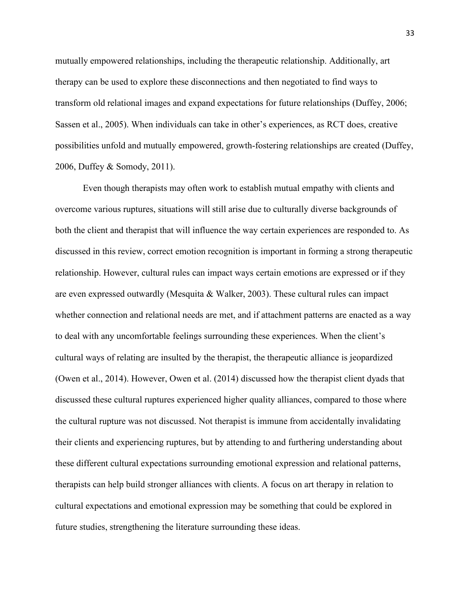mutually empowered relationships, including the therapeutic relationship. Additionally, art therapy can be used to explore these disconnections and then negotiated to find ways to transform old relational images and expand expectations for future relationships (Duffey, 2006; Sassen et al., 2005). When individuals can take in other's experiences, as RCT does, creative possibilities unfold and mutually empowered, growth-fostering relationships are created (Duffey, 2006, Duffey & Somody, 2011).

Even though therapists may often work to establish mutual empathy with clients and overcome various ruptures, situations will still arise due to culturally diverse backgrounds of both the client and therapist that will influence the way certain experiences are responded to. As discussed in this review, correct emotion recognition is important in forming a strong therapeutic relationship. However, cultural rules can impact ways certain emotions are expressed or if they are even expressed outwardly (Mesquita & Walker, 2003). These cultural rules can impact whether connection and relational needs are met, and if attachment patterns are enacted as a way to deal with any uncomfortable feelings surrounding these experiences. When the client's cultural ways of relating are insulted by the therapist, the therapeutic alliance is jeopardized (Owen et al., 2014). However, Owen et al. (2014) discussed how the therapist client dyads that discussed these cultural ruptures experienced higher quality alliances, compared to those where the cultural rupture was not discussed. Not therapist is immune from accidentally invalidating their clients and experiencing ruptures, but by attending to and furthering understanding about these different cultural expectations surrounding emotionalexpression and relational patterns, therapists can help build stronger alliances with clients. A focus on art therapy in relation to cultural expectations and emotional expression may be something that could be explored in future studies, strengthening the literature surrounding these ideas.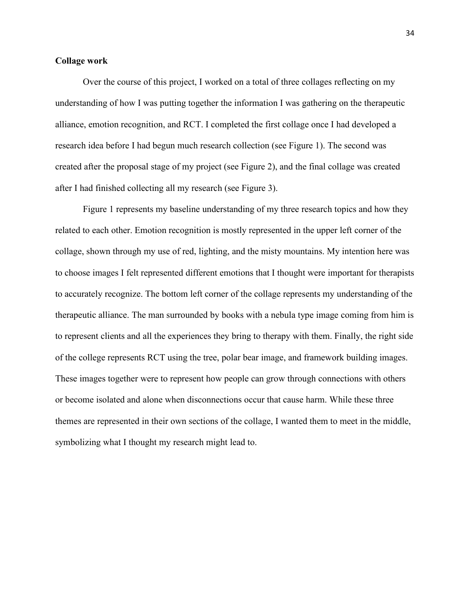#### **Collage work**

Over the course of this project, I worked on a total of three collages reflecting on my understanding of how I was putting together the information I was gathering on the therapeutic alliance, emotion recognition, and RCT. I completed the first collage once I had developed a research idea before I had begun much research collection (see Figure 1). The second was created after the proposal stage of my project (see Figure 2), and the final collage was created after I had finished collecting all my research (see Figure 3).

Figure 1 represents my baseline understanding of my three research topics and how they related to each other. Emotion recognition is mostly represented in the upper left corner of the collage, shown through my use of red, lighting, and the misty mountains. My intention here was to choose images I felt represented different emotions that I thought were important for therapists to accurately recognize. The bottom left corner of the collage represents my understanding of the therapeutic alliance. The man surrounded by books with a nebula type image coming from him is to represent clients and all the experiences they bring to therapy with them. Finally, the right side of the college represents RCT using the tree, polar bear image, and framework building images. These images together were to represent how people can grow through connections with others or become isolated and alone when disconnections occur that cause harm. While these three themes are represented in their own sections of the collage, I wanted them to meet in the middle, symbolizing what I thought my research might lead to.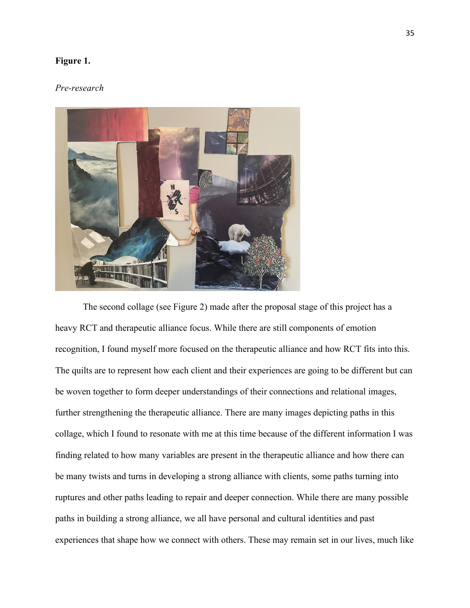## **Figure 1.**

#### *Pre-research*



The second collage (see Figure 2) made after the proposal stage of this project has a heavy RCT and therapeutic alliance focus. While there are still components of emotion recognition, I found myself more focused on the therapeutic alliance and how RCT fits into this. The quilts are to represent how each client and their experiences are going to be different but can be woven together to form deeper understandings of their connections and relational images, further strengthening the therapeutic alliance. There are many images depicting paths in this collage, which I found to resonate with me at this time because of the different information I was finding related to how many variables are present in the therapeutic alliance and how there can be many twists and turns in developing a strong alliance with clients, some paths turning into ruptures and other paths leading to repair and deeper connection. While there are many possible paths in building a strong alliance, we all have personal and cultural identities and past experiences that shape how we connect with others. These may remain set in our lives, much like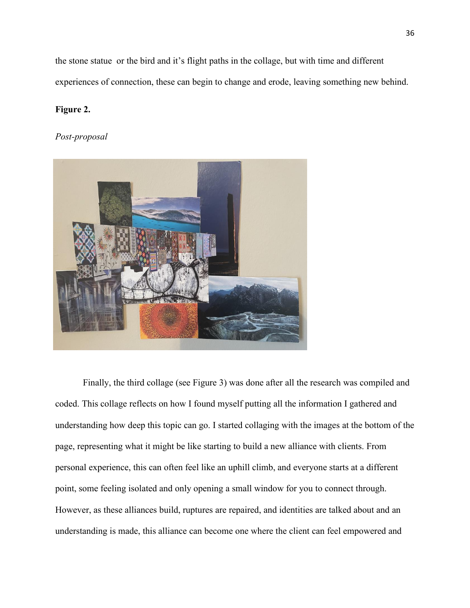the stone statue or the bird and it's flight paths in the collage, but with time and different experiences of connection, these can begin to change and erode, leaving something new behind.

# **Figure 2.**

## *Post-proposal*



Finally, the third collage (see Figure 3) was done after all the research was compiled and coded. This collage reflects on how I found myself putting all the information I gathered and understanding how deep this topic can go. I started collaging with the images at the bottom of the page, representing what it might be like starting to build a new alliance with clients. From personal experience, this can often feel like an uphill climb, and everyone starts at a different point, some feeling isolated and only opening a small window for you to connect through. However, as these alliances build, ruptures are repaired, and identities are talked about and an understanding is made, this alliance can become one where the client can feel empowered and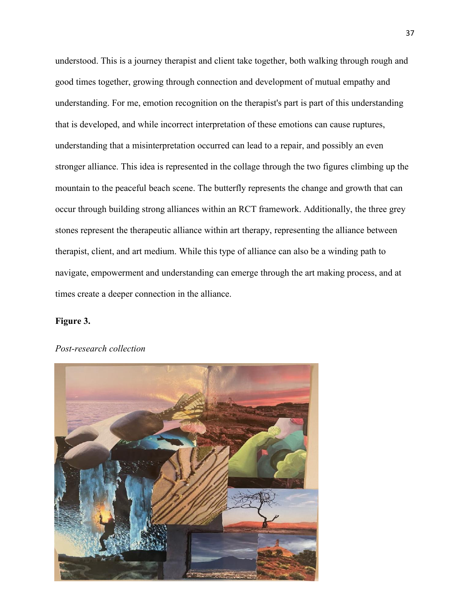understood. This is a journey therapist and client take together, both walking through rough and good times together, growing through connection and development of mutual empathy and understanding. For me, emotion recognition on the therapist's part is part of this understanding that is developed, and while incorrect interpretation of these emotions can cause ruptures, understanding that a misinterpretation occurred can lead to a repair, and possibly an even stronger alliance. This idea is represented in the collage through the two figures climbing up the mountain to the peaceful beach scene. The butterfly represents the change and growth that can occur through building strong alliances within an RCT framework. Additionally, the three grey stones represent the therapeutic alliance within art therapy, representing the alliance between therapist, client, and art medium. While this type of alliance can also be a winding path to navigate, empowerment and understanding can emerge through the art making process, and at times create a deeper connection in the alliance.

# **Figure 3.**



#### *Post-research collection*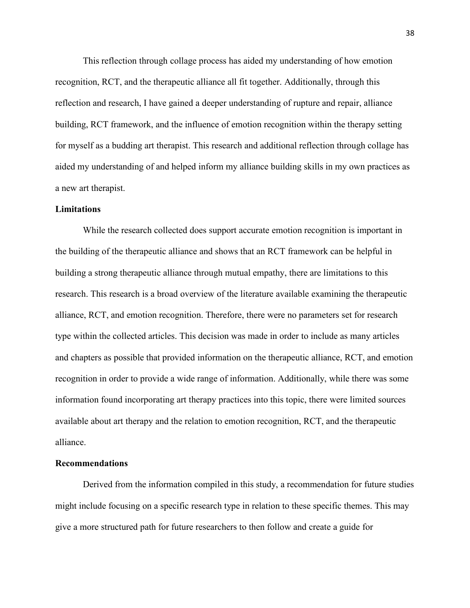This reflection through collage process has aided my understanding of how emotion recognition, RCT, and the therapeutic alliance all fit together. Additionally, through this reflection and research, I have gained a deeper understanding of rupture and repair, alliance building, RCT framework, and the influence of emotion recognition within the therapy setting for myself as a budding art therapist. This research and additional reflection through collage has aided my understanding of and helped inform my alliance building skills in my own practices as a new art therapist.

#### **Limitations**

While the research collected does support accurate emotion recognition is important in the building of the therapeutic alliance and shows that an RCT framework can be helpful in building a strong therapeutic alliance through mutual empathy, there are limitations to this research. This research is a broad overview of the literature available examining the therapeutic alliance, RCT, and emotion recognition. Therefore, there were no parameters set for research type within the collected articles. This decision was made in order to include as many articles and chapters as possible that provided information on the therapeutic alliance, RCT, and emotion recognition in order to provide a wide range of information. Additionally, while there was some information found incorporating art therapy practices into this topic, there were limited sources available about art therapy and the relation to emotion recognition, RCT, and the therapeutic alliance.

#### **Recommendations**

Derived from the information compiled in this study, a recommendation for future studies might include focusing on a specific research type in relation to these specific themes. This may give a more structured path for future researchers to then follow and create a guide for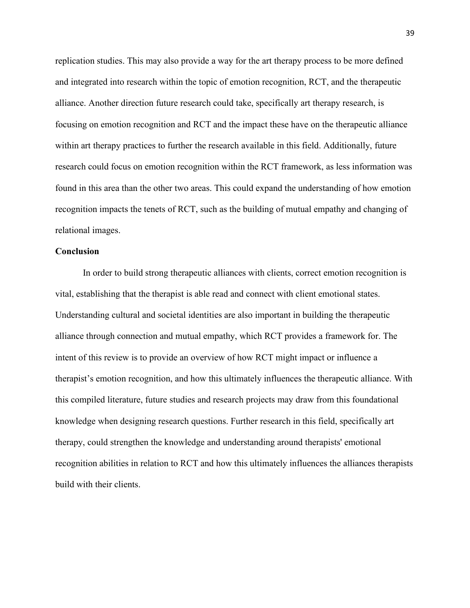replication studies. This may also provide a way for the art therapy process to be more defined and integrated into research within the topic of emotion recognition, RCT, and the therapeutic alliance. Another direction future research could take, specifically art therapy research, is focusing on emotion recognition and RCT and the impact these have on the therapeutic alliance within art therapy practices to further the research available in this field. Additionally, future research could focus on emotion recognition within the RCT framework, as less information was found in this area than the other two areas. This could expand the understanding of how emotion recognition impacts the tenets of RCT, such as the building of mutual empathy and changing of relational images.

#### **Conclusion**

In order to build strong therapeutic alliances with clients, correct emotion recognition is vital, establishing that the therapist is able read and connect with client emotional states. Understanding cultural and societal identities are also important in building the therapeutic alliance through connection and mutual empathy, which RCT provides a framework for. The intent of this review is to provide an overview of how RCT might impact or influence a therapist's emotion recognition, and how this ultimately influences the therapeutic alliance. With this compiled literature, future studies and research projects may draw from this foundational knowledge when designing research questions. Further research in this field, specifically art therapy, could strengthen the knowledge and understanding around therapists' emotional recognition abilities in relation to RCT and how this ultimately influences the alliances therapists build with their clients.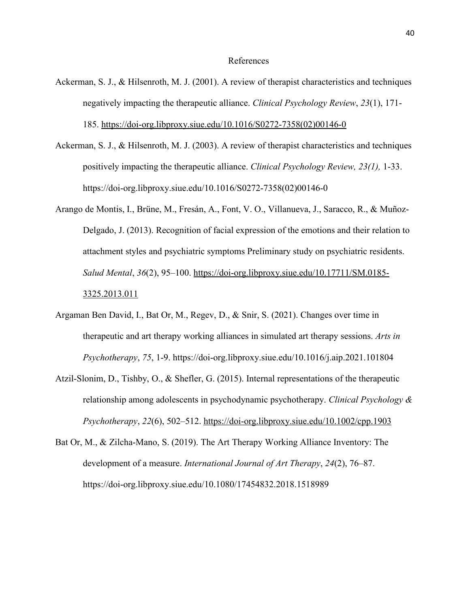#### References

- Ackerman, S. J., & Hilsenroth, M. J. (2001). A review of therapist characteristics and techniques negatively impacting the therapeutic alliance. *Clinical Psychology Review*, *23*(1), 171- 185. [https://doi-org.libproxy.siue.edu/10.1016/S0272-7358\(02\)00146-0](https://doi-org.libproxy.siue.edu/10.1016/S0272-7358(02)00146-0)
- Ackerman, S. J., & Hilsenroth, M. J. (2003). A review of therapist characteristics and techniques positively impacting the therapeutic alliance. *Clinical Psychology Review, 23(1),* 1-33. https://doi-org.libproxy.siue.edu/10.1016/S0272-7358(02)00146-0
- Arango de Montis, I., Brüne, M., Fresán, A., Font, V. O., Villanueva, J., Saracco, R., & Muñoz- Delgado, J. (2013). Recognition of facial expression of the emotions and their relation to attachment styles and psychiatric symptoms Preliminary study on psychiatric residents. *Salud Mental*, *36*(2), 95–100. [https://doi-org.libproxy.siue.edu/10.17711/SM.0185-](https://doi-org.libproxy.siue.edu/10.17711/SM.0185-3325.2013.011) 3325.2013.011
- Argaman Ben David, I., Bat Or, M., Regev, D., & Snir, S. (2021). Changes over time in therapeutic and art therapy working alliances in simulated art therapy sessions. *Arts in Psychotherapy*, *75*, 1-9. https://doi-org.libproxy.siue.edu/10.1016/j.aip.2021.101804
- Atzil-Slonim, D., Tishby, O., & Shefler, G. (2015). Internal representations of the therapeutic relationship among adolescents in psychodynamic psychotherapy. *Clinical Psychology & Psychotherapy*, *22*(6), 502–512. <https://doi-org.libproxy.siue.edu/10.1002/cpp.1903>
- Bat Or, M., & Zilcha-Mano, S. (2019). The Art Therapy Working Alliance Inventory: The development of a measure. *International Journal of Art Therapy*, *24*(2), 76–87. https://doi-org.libproxy.siue.edu/10.1080/17454832.2018.1518989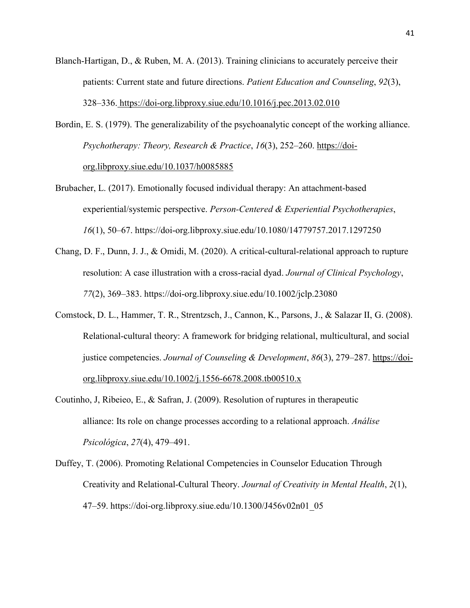- Blanch-Hartigan, D., & Ruben, M. A. (2013). Training clinicians to accurately perceive their patients: Current state and future directions. *Patient Education and Counseling*, *92*(3), 328–336. <https://doi-org.libproxy.siue.edu/10.1016/j.pec.2013.02.010>
- Bordin, E. S. (1979). The generalizability of the psychoanalytic concept of the working alliance. *Psychotherapy: Theory, Research & Practice*, *16*(3), 252–260. [https://doi](https://doi-org.libproxy.siue.edu/10.1037/h0085885) org.libproxy.siue.edu/10.1037/h0085885
- Brubacher, L. (2017). Emotionally focused individual therapy: An attachment-based experiential/systemic perspective. *Person-Centered & Experiential Psychotherapies*, *16*(1), 50–67. https://doi-org.libproxy.siue.edu/10.1080/14779757.2017.1297250
- Chang, D. F., Dunn, J. J., & Omidi, M. (2020). A critical‐cultural‐relational approach to rupture resolution: A case illustration with a cross‐racial dyad. *Journal of Clinical Psychology*, *77*(2), 369–383. https://doi-org.libproxy.siue.edu/10.1002/jclp.23080
- Comstock, D. L., Hammer, T. R., Strentzsch, J., Cannon, K., Parsons, J., & Salazar II, G. (2008). Relational-cultural theory: A framework for bridging relational, multicultural, and social justice competencies. *Journal of Counseling & Development*, *86*(3), 279–287. [https://doi](https://doi-org.libproxy.siue.edu/10.1002/j.1556-6678.2008.tb00510.x) org.libproxy.siue.edu/10.1002/j.1556-6678.2008.tb00510.x
- Coutinho, J, Ribeieo, E., & Safran, J. (2009). Resolution of ruptures in therapeutic alliance: Its role on change processes according to a relational approach. *Análise Psicológica*, *27*(4), 479–491.
- Duffey, T. (2006). Promoting Relational Competencies in Counselor Education Through Creativity and Relational-Cultural Theory. *Journal of Creativity in Mental Health*, *2*(1), 47–59. https://doi-org.libproxy.siue.edu/10.1300/J456v02n01\_05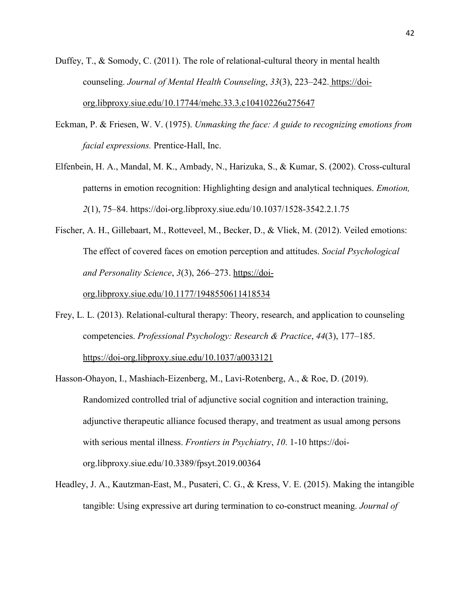- Duffey, T., & Somody, C. (2011). The role of relational-cultural theory in mental health counseling. *Journal of Mental Health Counseling*, *33*(3), 223–242. [https://doi](https://doi-org.libproxy.siue.edu/10.17744/mehc.33.3.c10410226u275647) org.libproxy.siue.edu/10.17744/mehc.33.3.c10410226u275647
- Eckman, P. & Friesen, W. V. (1975). *Unmasking the face: A guide to recognizing emotions from facial expressions.* Prentice-Hall, Inc.
- Elfenbein, H. A., Mandal, M. K., Ambady, N., Harizuka, S., & Kumar, S. (2002). Cross-cultural patterns in emotion recognition: Highlighting design and analytical techniques. *Emotion, 2*(1), 75–84. https://doi-org.libproxy.siue.edu/10.1037/1528-3542.2.1.75
- Fischer, A. H., Gillebaart, M., Rotteveel, M., Becker, D., & Vliek, M. (2012). Veiled emotions: The effect of covered faces on emotion perception and attitudes. *Social Psychological and Personality Science*, *3*(3), 266–273. [https://doi-](https://doi-org.libproxy.siue.edu/10.1177/1948550611418534)

org.libproxy.siue.edu/10.1177/1948550611418534

- Frey, L. L. (2013). Relational-cultural therapy: Theory, research, and application to counseling competencies. *Professional Psychology: Research & Practice*, *44*(3), 177–185. <https://doi-org.libproxy.siue.edu/10.1037/a0033121>
- Hasson-Ohayon, I., Mashiach-Eizenberg, M., Lavi-Rotenberg, A., & Roe, D. (2019). Randomized controlled trial of adjunctive social cognition and interaction training, adjunctive therapeutic alliance focused therapy, and treatment as usual among persons with serious mental illness. *Frontiers in Psychiatry*, *10*. 1-10 https://doi org.libproxy.siue.edu/10.3389/fpsyt.2019.00364
- Headley, J. A., Kautzman-East, M., Pusateri, C. G., & Kress, V. E. (2015). Making the intangible tangible: Using expressive art during termination to co-construct meaning. *Journal of*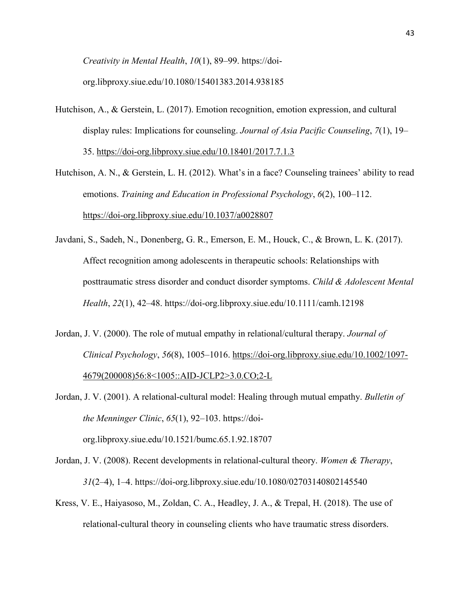*Creativity in Mental Health*, *10*(1), 89–99. https://doi org.libproxy.siue.edu/10.1080/15401383.2014.938185

- Hutchison, A., & Gerstein, L. (2017). Emotion recognition, emotion expression, and cultural display rules: Implications for counseling. *Journal of Asia Pacific Counseling*, *7*(1), 19– 35. <https://doi-org.libproxy.siue.edu/10.18401/2017.7.1.3>
- Hutchison, A. N., & Gerstein, L. H. (2012). What's in a face? Counseling trainees' ability to read emotions. *Training and Education in Professional Psychology*, *6*(2), 100–112. https://doi-org.libproxy.siue.edu/10.1037/a0028807
- Javdani, S., Sadeh, N., Donenberg, G. R., Emerson, E. M., Houck, C., & Brown, L. K. (2017). Affect recognition among adolescents in therapeutic schools: Relationships with posttraumatic stress disorder and conduct disorder symptoms. *Child & Adolescent Mental Health*, *22*(1), 42–48. https://doi-org.libproxy.siue.edu/10.1111/camh.12198
- Jordan, J. V. (2000). The role of mutual empathy in relational/cultural therapy. *Journal of Clinical Psychology*, *56*(8), 1005–1016. [https://doi-org.libproxy.siue.edu/10.1002/1097-](https://doi-org.libproxy.siue.edu/10.1002/1097-4679(200008)56:8%3c1005::AID-JCLP2%3e3.0.CO;2-L) 4679(200008)56:8<1005::AID-JCLP2>3.0.CO;2-L
- Jordan, J. V. (2001). A relational-cultural model: Healing through mutual empathy. *Bulletin of the Menninger Clinic*, *65*(1), 92–103. https://doi org.libproxy.siue.edu/10.1521/bumc.65.1.92.18707
- Jordan, J. V. (2008). Recent developments in relational-cultural theory. *Women & Therapy*, *31*(2–4), 1–4. https://doi-org.libproxy.siue.edu/10.1080/02703140802145540
- Kress, V. E., Haiyasoso, M., Zoldan, C. A., Headley, J. A., & Trepal, H. (2018). The use of relational-cultural theory in counseling clients who have traumatic stress disorders.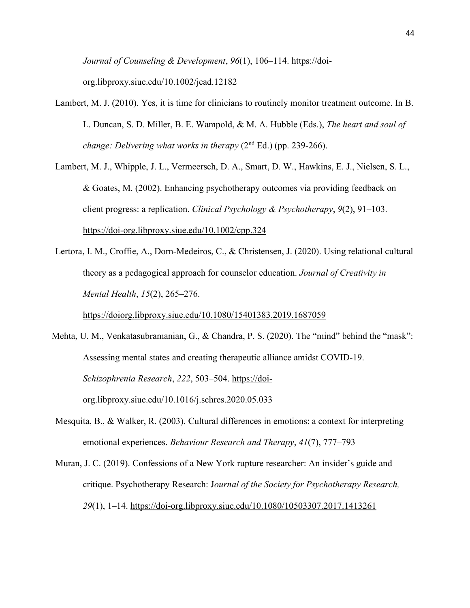*Journal of Counseling & Development*, *96*(1), 106–114. https://doi org.libproxy.siue.edu/10.1002/jcad.12182

Lambert, M. J. (2010). Yes, it is time for clinicians to routinely monitor treatment outcome. In B. L. Duncan, S. D. Miller, B. E. Wampold, & M. A. Hubble (Eds.), *The heart and soul of change: Delivering what works in therapy* (2 nd Ed.) (pp. 239-266).

Lambert, M. J., Whipple, J. L., Vermeersch, D. A., Smart, D. W., Hawkins, E. J., Nielsen, S. L., & Goates, M. (2002). Enhancing psychotherapy outcomes via providing feedback on client progress: a replication. *Clinical Psychology & Psychotherapy*, *9*(2), 91–103. https://doi-org.libproxy.siue.edu/10.1002/cpp.324

Lertora, I. M., Croffie, A., Dorn-Medeiros, C., & Christensen, J. (2020). Using relational cultural theory as a pedagogical approach for counselor education. *Journal of Creativity in Mental Health*, *15*(2), 265–276.

https://doiorg.libproxy.siue.edu/10.1080/15401383.2019.1687059

Mehta, U. M., Venkatasubramanian, G., & Chandra, P. S. (2020). The "mind" behind the "mask": Assessing mental states and creating therapeutic alliance amidst COVID-19. *Schizophrenia Research*, *222*, 503–504. [https://doi](https://doi-org.libproxy.siue.edu/10.1016/j.schres.2020.05.033) org.libproxy.siue.edu/10.1016/j.schres.2020.05.033

Mesquita, B., & Walker, R. (2003). Cultural differences in emotions: a context for interpreting emotional experiences. *Behaviour Research and Therapy*, *41*(7), 777–793

Muran, J. C. (2019). Confessions of a New York rupture researcher: An insider's guide and critique. Psychotherapy Research:J*ournal of the Society for Psychotherapy Research, 29*(1), 1–14. <https://doi-org.libproxy.siue.edu/10.1080/10503307.2017.1413261>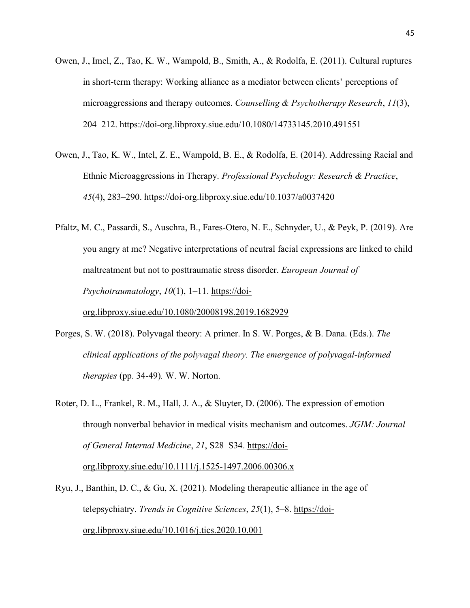- Owen, J., Imel, Z., Tao, K. W., Wampold, B., Smith, A., & Rodolfa, E. (2011). Cultural ruptures in short-term therapy: Working alliance as a mediator between clients' perceptions of microaggressions and therapy outcomes. *Counselling & Psychotherapy Research*, *11*(3), 204–212. https://doi-org.libproxy.siue.edu/10.1080/14733145.2010.491551
- Owen, J., Tao, K. W., Intel, Z. E., Wampold, B. E., & Rodolfa, E. (2014). Addressing Racial and Ethnic Microaggressions in Therapy. *Professional Psychology: Research & Practice*, *45*(4), 283–290. https://doi-org.libproxy.siue.edu/10.1037/a0037420
- Pfaltz, M. C., Passardi, S., Auschra, B., Fares-Otero, N. E., Schnyder, U., & Peyk, P. (2019). Are you angry at me? Negative interpretations of neutral facial expressions are linked to child maltreatment but not to posttraumatic stress disorder. *European Journal of Psychotraumatology*, *10*(1), 1–11. [https://doi](https://doi-org.libproxy.siue.edu/10.1080/20008198.2019.1682929) org.libproxy.siue.edu/10.1080/20008198.2019.1682929
- Porges, S. W. (2018). Polyvagal theory: A primer. InS. W. Porges, & B. Dana. (Eds.). *The clinical applications of the polyvagal theory. The emergence of polyvagal-informed therapies* (pp. 34-49)*.* W. W. Norton.
- Roter, D. L., Frankel, R. M., Hall, J. A., & Sluyter, D. (2006). The expression of emotion through nonverbal behavior in medical visits mechanism and outcomes. *JGIM: Journal of General Internal Medicine*, *21*, S28–S34. [https://doi](https://doi-org.libproxy.siue.edu/10.1111/j.1525-1497.2006.00306.x) org.libproxy.siue.edu/10.1111/j.1525-1497.2006.00306.x
- Ryu, J., Banthin, D. C., & Gu, X. (2021). Modeling therapeutic alliance in the age of telepsychiatry. *Trends in Cognitive Sciences*, *25*(1), 5–8. [https://doi](https://doi-org.libproxy.siue.edu/10.1016/j.tics.2020.10.001) org.libproxy.siue.edu/10.1016/j.tics.2020.10.001